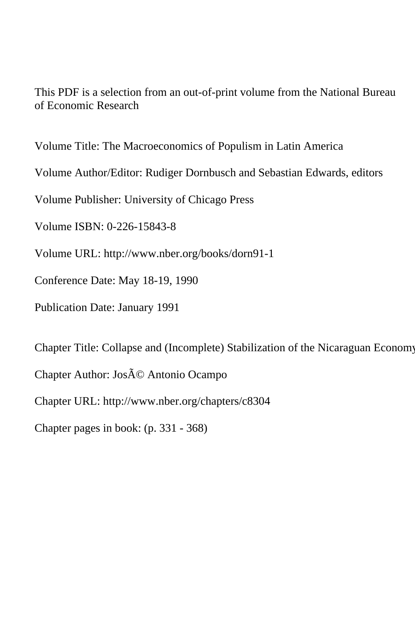This PDF is a selection from an out-of-print volume from the National Bureau of Economic Research

Volume Title: The Macroeconomics of Populism in Latin America

Volume Author/Editor: Rudiger Dornbusch and Sebastian Edwards, editors

Volume Publisher: University of Chicago Press

Volume ISBN: 0-226-15843-8

Volume URL: http://www.nber.org/books/dorn91-1

Conference Date: May 18-19, 1990

Publication Date: January 1991

Chapter Title: Collapse and (Incomplete) Stabilization of the Nicaraguan Economy

Chapter Author: José Antonio Ocampo

Chapter URL: http://www.nber.org/chapters/c8304

Chapter pages in book: (p. 331 - 368)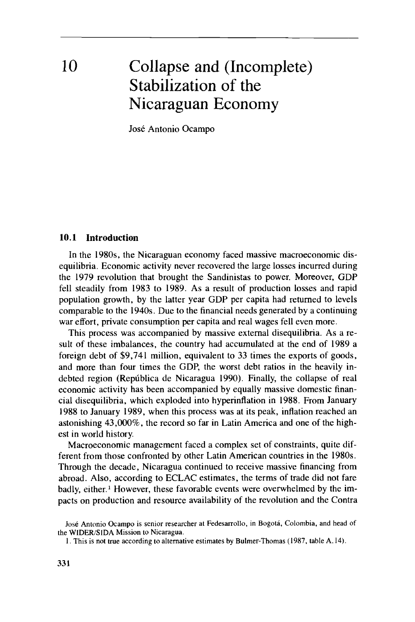# 10 Collapse and (Incomplete) Stabilization of the Nicaraguan Economy

José Antonio Ocampo

# **10.1 Introduction**

In the 1980s, the Nicaraguan economy faced massive macroeconomic disequilibria. Economic activity never recovered the large losses incurred during the 1979 revolution that brought the Sandinistas to power. Moreover, GDP fell steadily from 1983 to 1989. **As** a result of production losses and rapid population growth, by the latter year GDP per capita had returned to levels comparable to the 1940s. Due to the financial needs generated by a continuing war effort, private consumption per capita and real wages fell even more.

This process was accompanied by massive external disequilibria. **As** a result of these imbalances, the country had accumulated at the end of 1989 a foreign debt of \$9,741 million, equivalent to 33 times the exports of goods, and more than four times the GDP, the worst debt ratios in the heavily indebted region (República de Nicaragua 1990). Finally, the collapse of real economic activity has been accompanied by equally massive domestic financial disequilibria, which exploded into hyperinflation in 1988. From January I988 to January 1989, when this process was at its peak, inflation reached an astonishing 43 ,OOO%, the record so far in Latin America and one of the highest in world history.

Macroeconomic management faced a complex set of constraints, quite different from those confronted by other Latin American countries in the 1980s. Through the decade, Nicaragua continued to receive massive financing from abroad. Also, according to ECLAC estimates, the terms of trade did not fare badly, either. **I** However, these favorable events were overwhelmed by the impacts on production and resource availability of the revolution and the Contra

José Antonio Ocampo is senior researcher at Fedesarrollo, in Bogotá, Colombia, and head of the **WIDER/SIDA** Mission to Nicaragua.

I. This is not true according to alternative estimates **by** Bulrner-Thomas (1987, table **A.** 14).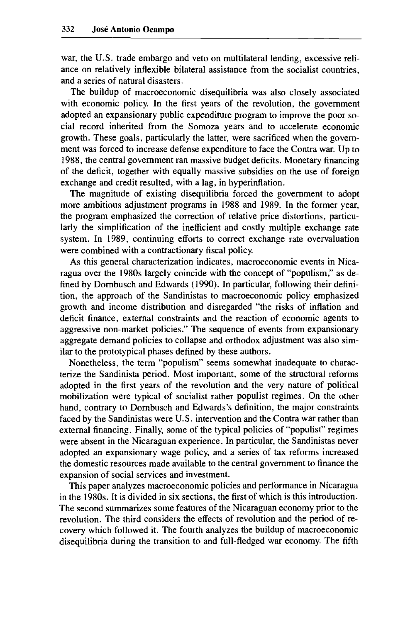war, the U.S. trade embargo and veto on multilateral lending, excessive reliance on relatively inflexible bilateral assistance from the socialist countries, and a series of natural disasters.

The buildup of macroeconomic disequilibria was also closely associated with economic policy. In the first years of the revolution, the government adopted an expansionary public expenditure program to improve the poor social record inherited from the Somoza years and to accelerate economic growth. These goals, particularly the latter, were sacrificed when the government was forced to increase defense expenditure to face the Contra war. Up to 1988, the central government ran massive budget deficits. Monetary financing of the deficit, together with equally massive subsidies on the use of foreign exchange and credit resulted, with a lag, in hyperinflation.

The magnitude of existing disequilibria forced the government to adopt more ambitious adjustment programs in 1988 and 1989. In the former year, the program emphasized the correction of relative price distortions, particularly the simplification of the inefficient and costly multiple exchange rate system. In 1989, continuing efforts to correct exchange rate overvaluation were combined with a contractionary fiscal policy.

As this general characterization indicates, macroeconomic events in Nicaragua over the 1980s largely coincide with the concept of "populism," as defined by Dornbusch and Edwards (1990). In particular, following their definition, the approach of the Sandinistas to macroeconomic policy emphasized growth and income distribution and disregarded "the risks of inflation and deficit finance, external constraints and the reaction of economic agents to aggressive non-market policies." The sequence of events from expansionary aggregate demand policies to collapse and orthodox adjustment was also similar to the prototypical phases defined by these authors.

Nonetheless, the term "populism" seems somewhat inadequate to characterize the Sandinista period. Most important, some of the structural reforms adopted in the first years of the revolution and the very nature of political mobilization were typical of socialist rather populist regimes. On the other hand, contrary to Dombusch and Edwards's definition, the major constraints faced by the Sandinistas were U.S. intervention and the Contra war rather than external financing. Finally, some of the typical policies of "populist" regimes were absent in the Nicaraguan experience. In particular, the Sandinistas never adopted an expansionary wage policy, and a series of tax reforms increased the domestic resources made available to the central government to finance the expansion of social services and investment.

This paper analyzes macroeconomic policies and performance in Nicaragua in the 1980s. It is divided in six sections, the first of which is this introduction. The second summarizes some features of the Nicaraguan economy prior to the revolution. The third considers the effects of revolution and the period of recovery which followed it. The fourth analyzes the buildup of macroeconomic disequilibria during the transition to and full-fledged war economy. The fifth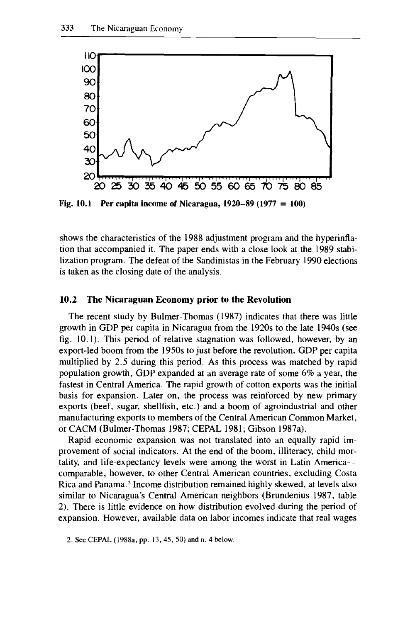

Fig. 10.1 Per capita income of Nicaragua,  $1920-89$  ( $1977 = 100$ )

shows the characteristics of the 1988 adjustment program and the hyperinflation that accompanied it. The paper ends with a close look at the 1989 stabilization program. The defeat of the Sandinistas in the February 1990 elections is taken as the closing date of the analysis.

### **10.2 The Nicaraguan Economy prior to the Revolution**

The recent study by Bulmer-Thomas (1987) indicates that there was little growth in GDP per capita in Nicaragua from the 1920s to the late 1940s (see fig. 10.1). This period of relative stagnation was followed, however, by an export-led boom from the 1950s to just before the revolution. GDP per capita multiplied by 2.5 during this period. As this process was matched by rapid population growth, GDP expanded at an average rate of some 6% a year, the fastest in Central America. The rapid growth of cotton exports was the initial basis for expansion. Later on, the process was reinforced by new primary exports (beef, sugar, shellfish, etc.) and a boom of agroindustrial and other manufacturing exports to members of the Central American Common Market, or CACM (Bulmer-Thomas 1987; CEPAL 1981; Gibson 1987a).

Rapid economic expansion was not translated into an equally rapid improvement of social indicators. At the end of the boom, illiteracy, child mortality, and life-expectancy levels were among the worst in Latin Americacomparable, however, to other Central American countries, excluding Costa Rica and Panama.2 Income distribution remained highly skewed, at levels also similar to Nicaragua's Central American neighbors (Brundenius 1987, table 2). There is little evidence on how distribution evolved during the period of expansion. However, available data on labor incomes indicate that real wages

<sup>2.</sup> **See CEPAL (1988a. pp.** 13,45,50) **and n.** 4 **below**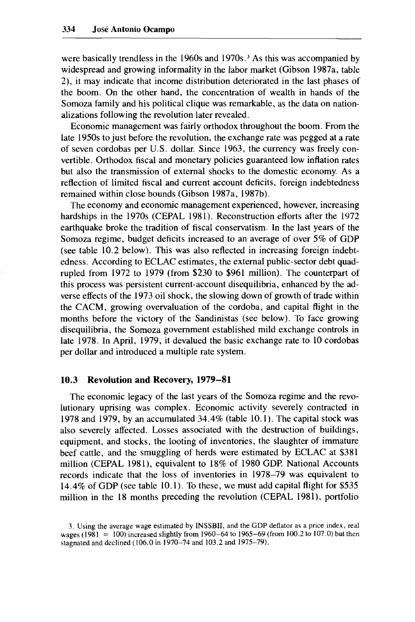were basically trendless in the 1960s and 1970s.<sup>3</sup> As this was accompanied by widespread and growing informality in the labor market (Gibson 1987a, table *2),* it may indicate that income distribution deteriorated in the last phases of the boom. On the other hand, the concentration of wealth in hands of the Somoza family and his political clique was remarkable, as the data on nationalizations following the revolution later revealed.

Economic management was fairly orthodox throughout the boom. From the late 1950s to just before the revolution, the exchange rate was pegged at a rate of seven cordobas per **U.S.** dollar. Since 1963, the currency was freely convertible. Orthodox fiscal and monetary policies guaranteed low inflation rates but also the transmission of external shocks to the domestic economy. As a reflection of limited fiscal and current account deficits, foreign indebtedness remained within close bounds (Gibson 1987a, 1987b).

The economy and economic management experienced, however, increasing hardships in the 1970s (CEPAL 1981). Reconstruction efforts after the 1972 earthquake broke the tradition of fiscal conservatism. In the last years of the Somoza regime, budget deficits increased to an average of over 5% of GDP (see table 10.2 below). This was also reflected in increasing foreign indebtedness. According to ECLAC estimates, the external public-sector debt quadrupled from 1972 to 1979 (from \$230 to \$961 million). The counterpart of this process was persistent current-account disequilibria, enhanced by the adverse effects of the 1973 oil shock, the slowing down of growth of trade within the CACM, growing overvaluation of the cordoba, and capital flight in the months before the victory of the Sandinistas (see below). To face growing disequilibria, the Somoza government established mild exchange controls in late 1978. In April, 1979, it devalued the basic exchange rate **to** 10 cordobas per dollar and introduced a multiple rate system.

#### **10.3 Revolution and Recovery, 1979-81**

The economic legacy of the last years of the Somoza regime and the **revo**lutionary uprising was complex. Economic activity severely contracted in 1978 and 1979, by an accumulated 34.4% (table 10. I). The capital stock was also severely affected. Losses associated with the destruction of buildings, equipment, and stocks, the looting of inventories, the slaughter of immature beef cattle, and the smuggling of herds were estimated by ECLAC at \$381 million (CEPAL 1981), equivalent to 18% of 1980 GDP. National Accounts records indicate that the loss of inventories in 1978-79 was equivalent to 14.4% of GDP (see table 10.1). To these, we must add capital flight for \$535 million in the 18 months preceding the revolution (CEPAL 1981), portfolio

<sup>3.</sup> Using the average wage estimated by INSSBII, and the GDP deflator as a price index, real wages (1981 = 100) increased slightly from 1960-64 **to** 1965-69 (from 100.2 to 107.0) but then stagnated and declined (106.0 in 1970-74 and 103.2 and 1975-79).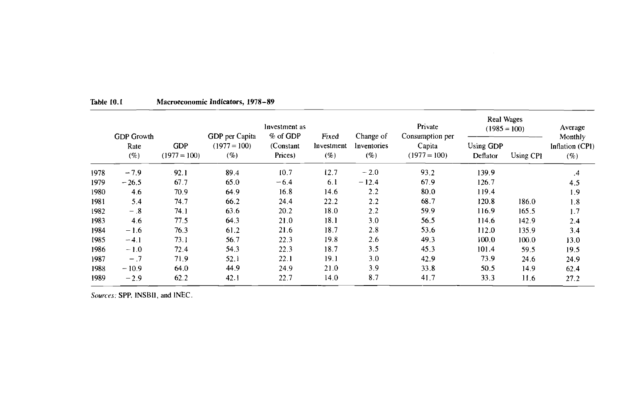|      | <b>GDP Growth</b> |                              | GDP per Capita        | Investment as<br>% of GDP | Fixed                | Change of             | Private<br>Consumption per | <b>Real Wages</b><br>$(1985 = 100)$ |           | Average<br>Monthly        |  |
|------|-------------------|------------------------------|-----------------------|---------------------------|----------------------|-----------------------|----------------------------|-------------------------------------|-----------|---------------------------|--|
|      | Rate<br>$(\%)$    | <b>GDP</b><br>$(1977 = 100)$ | $(1977 = 100)$<br>(%) | (Constant<br>Prices)      | Investment<br>$(\%)$ | Inventories<br>$(\%)$ | Capita<br>$(1977 = 100)$   | Using GDP<br>Deflator               | Using CP1 | Inflation (CPI)<br>$(\%)$ |  |
| 1978 | $-7.9$            | .92.1                        | 89.4                  | 10.7                      | 12.7                 | $-2.0$                | 93.2                       | 139.9                               |           | $\cdot$ 4                 |  |
| 1979 | $-26.5$           | 67.7                         | 65.0                  | $-6.4$                    | 6.1                  | $-12.4$               | 67.9                       | 126.7                               |           | 4.5                       |  |
| 1980 | 4.6               | 70.9                         | 64.9                  | 16.8                      | 14.6                 | 2.2                   | 80.0                       | 119.4                               |           | 1.9                       |  |
| 1981 | 5.4               | 74.7                         | 66.2                  | 24.4                      | 22.2                 | 2.2                   | 68.7                       | 120.8                               | 186.0     | 1.8                       |  |
| 1982 | $-.8$             | 74.1                         | 63.6                  | 20.2                      | 18.0                 | 2.2                   | 59.9                       | 116.9                               | 165.5     | 1.7                       |  |
| 1983 | 4.6               | 77.5                         | 64.3                  | 21.0                      | 18.1                 | 3.0                   | 56.5                       | 114.6                               | 142.9     | 2.4                       |  |
| 1984 | $-1.6$            | 76.3                         | 61.2                  | 21.6                      | 18.7                 | 2.8                   | 53.6                       | 112.0                               | 135.9     | 3.4                       |  |
| 1985 | $-4.1$            | 73.1                         | 56.7                  | 22.3                      | 19.8                 | 2.6                   | 49.3                       | 100.0                               | 100.0     | 13.0                      |  |
| 1986 | $-1.0$            | 72.4                         | 54.3                  | 22.3                      | 18.7                 | 3.5                   | 45.3                       | 101.4                               | 59.5      | 19.5                      |  |
| 1987 | $-.7$             | 71.9                         | 52.1                  | 22.1                      | 19.1                 | 3.0                   | 42.9                       | 73.9                                | 24 6      | 24.9                      |  |
| 1988 | $-10.9$           | 64.0                         | 44.9                  | 24.9                      | 21.0                 | 3.9                   | 33.8                       | 50.5                                | 14.9      | 62.4                      |  |
| 1989 | $-2.9$            | 62.2                         | 42.1                  | 22.7                      | 14.0                 | 8.7                   | 41.7                       | 33.3                                | 11.6      | 27.2                      |  |

# **Table 10.1 Macroeconomic Indicators, 1978-89**

*Sources:* SPP, **INSBII,** and INEC.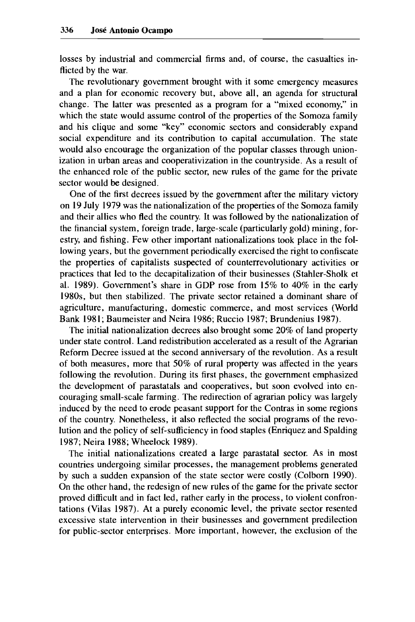losses by industrial and commercial firms and, of course, the casualties inflicted by the war.

The revolutionary government brought with it some emergency measures and a plan for economic recovery but, above all, an agenda for structural change. The latter was presented as a program for a "mixed economy," in which the state would assume control of the properties of the Somoza family and his clique and some "key" economic sectors and considerably expand social expenditure and its contribution to capital accumulation. The state would also encourage the organization of the popular classes through unionization in urban areas and cooperativization in the countryside. As a result of the enhanced role of the public sector, new rules of the game for the private sector would be designed.

One of the first decrees issued by the government after the military victory on 19 July 1979 was the nationalization of the properties of the Somoza family and their allies who fled the country. It was followed by the nationalization of the financial system, foreign trade, large-scale (particularly gold) mining, forestry, and fishing. Few other important nationalizations took place in the following years, but the government periodically exercised the right to confiscate the properties of capitalists suspected of counterrevolutionary activities or practices that led to the decapitalization of their businesses (Stahler-Sholk et al. 1989). Government's share in GDP rose from 15% to 40% in the early 1980s, but then stabilized. The private sector retained a dominant share of agriculture, manufacturing, domestic commerce, and most services (World Bank 1981; Baumeister and Neira 1986; Ruccio 1987; Brundenius 1987).

The initial nationalization decrees also brought some 20% of land property under state control. Land redistribution accelerated as a result of the Agrarian Reform Decree issued at the second anniversary of the revolution. As a result of both measures, more that 50% of rural property was affected in the years following the revolution. During its first phases, the government emphasized the development of parastatals and cooperatives, but soon evolved into encouraging small-scale farming. The redirection of agrarian policy was largely induced by the need to erode peasant support for the Contras in some regions of the country. Nonetheless, it also reflected the social programs of the revolution and the policy of self-sufficiency in food staples (Enriquez and Spalding 1987; Neira 1988; Wheelock 1989).

The initial nationalizations created a large parastatal sector. As in most countries undergoing similar processes, the management problems generated by such a sudden expansion of the state sector were costly (Colborn 1990). On the other hand, the redesign of new rules of the game for the private sector proved difficult and in fact led, rather early in the process, to violent confrontations (Vilas 1987). At a purely economic level, the private sector resented excessive state intervention in their businesses and government predilection for public-sector enterprises. More important, however, the exclusion of the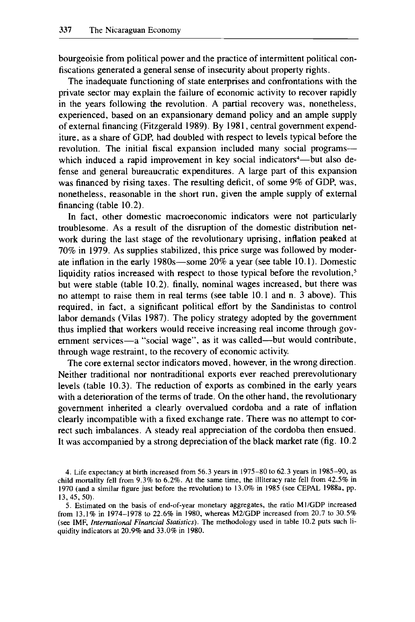bourgeoisie from political power and the practice of intermittent political confiscations generated a general sense of insecurity about property rights.

The inadequate functioning of state enterprises and confrontations with the private sector may explain the failure of economic activity to recover rapidly in the years following the revolution. A partial recovery was, nonetheless, experienced, based on an expansionary demand policy and an ample supply of external financing (Fitzgerald 1989). By 1981, central government expenditure, as a share of GDP, had doubled with respect to levels typical before the revolution. The initial fiscal expansion included many social programs which induced a rapid improvement in key social indicators<sup>4</sup>—but also defense and general bureaucratic expenditures. A large part of this expansion was financed by rising taxes. The resulting deficit, of some 9% of GDP, was, nonetheless, reasonable in the short run, given the ample supply of external financing (table 10.2).

In fact, other domestic macroeconomic indicators were not particularly troublesome. As a result of the disruption of the domestic distribution network during the last stage of the revolutionary uprising, inflation peaked at 70% in 1979. As supplies stabilized, this price surge was followed by moderate inflation in the early 1980s-some  $20\%$  a year (see table 10.1). Domestic liquidity ratios increased with respect to those typical before the revolution, $5$ but were stable (table 10.2). finally, nominal wages increased, but there was no attempt to raise them in real terms (see table 10.1 and n. 3 above). This required, in fact, a significant political effort by the Sandinistas to control labor demands (Vilas 1987). The policy strategy adopted by the government thus implied that workers would receive increasing real income through government services-a "social wage", as it was called-but would contribute, through wage restraint, to the recovery of economic activity.

The core external sector indicators moved, however, in the wrong direction. Neither traditional nor nontraditional exports ever reached prerevolutionary levels (table 10.3). The reduction of exports as combined in the early years with a deterioration of the terms of trade. On the other hand, the revolutionary government inherited a clearly overvalued cordoba and a rate of inflation clearly incompatible with a fixed exchange rate. There was no attempt to correct such imbalances. A steady real appreciation of the cordoba then ensued. It was accompanied by a strong depreciation of the black market rate (fig. 10.2

**<sup>4.</sup> Life expectancy at birth increased from 56.3 years in 1975-80 to 62.3 years in 1985-90, as child mortality fell from 9.3% to 6.2%. At the same time, the illiteracy rate fell from 42.5% in 1970 (and a similar figure just before the revolution) to 13.0% in 1985 (see CEPAL 1988a. pp. 13,45,50).** 

<sup>5.</sup> **Estimated on the basis of end-of-year monetary aggregates, the ratio MllGDP increased from 13.1% in 1974-1978 to 22.6% in 1980, whereas M2/GDP increased** from **20.7 to 30.5%**  (see IMF, *International Financial Statistics*). The methodology used in table 10.2 puts such li**quidity indicators at 20.9% and 33.0% in 1980.**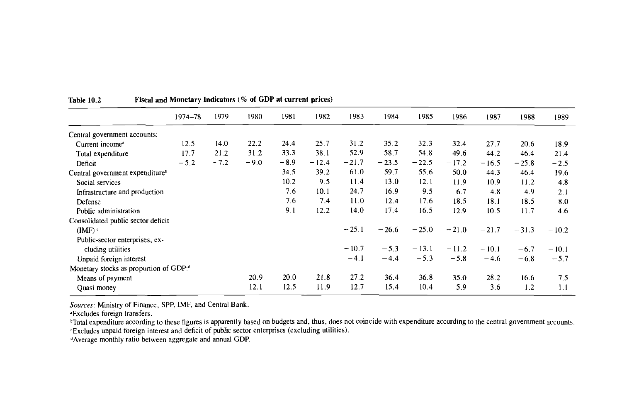|                                                    | 1974-78 | 1979   | 1980   | 1981   | 1982    | 1983    | 1984    | 1985    | 1986    | 1987    | 1988    | 1989    |
|----------------------------------------------------|---------|--------|--------|--------|---------|---------|---------|---------|---------|---------|---------|---------|
| Central government accounts:                       |         |        |        |        |         |         |         |         |         |         |         |         |
| Current income <sup>2</sup>                        | 12.5    | 14.0   | 22.2   | 24.4   | 25.7    | 31.2    | 35.2    | 32.3    | 32.4    | 27.7    | 20.6    | 18.9    |
| Total expenditure                                  | 17.7    | 21.2   | 31.2   | 33.3   | 38.1    | 52.9    | 58.7    | 54.8    | 49.6    | 44.2    | 46.4    | 21.4    |
| Deficit                                            | $-5.2$  | $-7.2$ | $-9.0$ | $-8.9$ | $-12.4$ | $-21.7$ | $-23.5$ | $-22.5$ | $-17.2$ | $-16.5$ | $-25.8$ | $-2.5$  |
| Central government expenditure <sup>b</sup>        |         |        |        | 34.5   | 39.2    | 61.0    | 59.7    | 55.6    | 50.0    | 44.3    | 46.4    | 19.6    |
| Social services                                    |         |        |        | 10.2   | 9.5     | 11.4    | 13.0    | 12.1    | 11.9    | 10.9    | 11.2    | 4.8     |
| Infrastructure and production                      |         |        |        | 7.6    | 10.1    | 24.7    | 16.9    | 9.5     | 6.7     | 4.8     | 4.9     | 2.1     |
| Defense                                            |         |        |        | 7.6    | 7.4     | 11.0    | 12.4    | 17.6    | 18.5    | 18.1    | 18.5    | 8.0     |
| Public administration                              |         |        |        | 9.1    | 12.2    | 14.0    | 17.4    | 16.5    | 12.9    | 10.5    | 11.7    | 4.6     |
| Consolidated public sector deficit                 |         |        |        |        |         |         |         |         |         |         |         |         |
| (IMF)                                              |         |        |        |        |         | $-25.1$ | $-26.6$ | $-25.0$ | $-21.0$ | $-21.7$ | $-31.3$ | $-10.2$ |
| Public-sector enterprises, ex-                     |         |        |        |        |         |         |         |         |         |         |         |         |
| cluding utilities                                  |         |        |        |        |         | $-10.7$ | $-5.3$  | $-13.1$ | $-11.2$ | $-10.1$ | $-6.7$  | $-10.1$ |
| Unpaid foreign interest                            |         |        |        |        |         | $-4.1$  | $-4.4$  | $-5.3$  | $-5.8$  | $-4.6$  | $-6.8$  | $-5.7$  |
| Monetary stocks as proportion of GDP <sup>-d</sup> |         |        |        |        |         |         |         |         |         |         |         |         |
| Means of payment                                   |         |        | 20.9   | 20.0   | 21.8    | 27.2    | 36.4    | 36.8    | 35.0    | 28.2    | 16.6    | 7.5     |
| Quasi money                                        |         |        | 12.1   | 12.5   | 11.9    | 12.7    | 15.4    | 10.4    | 5.9     | 3.6     | 1.2     | 1.1     |

**Table 10.2 Fiscal and Monetary Indicators** (% **of GDP at current prices)** 

*Sources:* Ministry of Finance, SPP. IMF, and Central Bank.

'Excludes foreign transfers.

<sup>b</sup>Total expenditure according to these figures is apparently based on budgets and, thus, does not coincide with expenditure according to the central government accounts. ?Excludes unpaid foreign interest and deficit **of** public sector enterprises (excluding utilities).

dAverage monthly ratio between aggregate and annual GDP.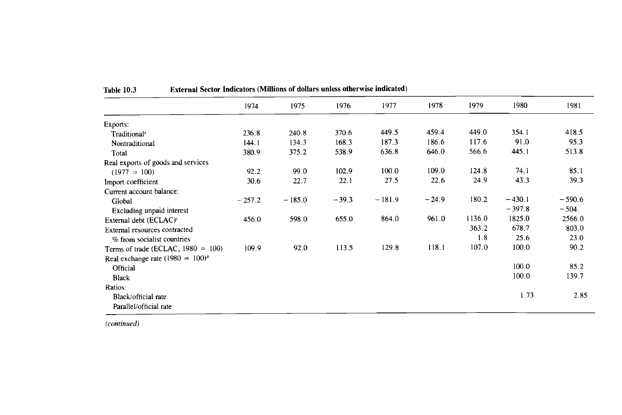|                                       | 1974     | 1975     | 1976    | 1977     | 1978    | 1979   | 1980     | 1981     |
|---------------------------------------|----------|----------|---------|----------|---------|--------|----------|----------|
| Exports:                              |          |          |         |          |         |        |          |          |
| Traditional <sup>a</sup>              | 236.8    | 240.8    | 370.6   | 449.5    | 459.4   | 449.0  | 354.1    | 418.5    |
| Nontraditional                        | 144.1    | 134.3    | 168.3   | 187.3    | 186.6   | 117.6  | 91.0     | 95.3     |
| Total                                 | 380.9    | 375.2    | 538.9   | 636.8    | 646.0   | 566.6  | 445.1    | 513.8    |
| Real exports of goods and services    |          |          |         |          |         |        |          |          |
| $(1977 = 100)$                        | 92.2     | 99.0     | 102.9   | 100.0    | 109.0   | 124.8  | 74.1     | 85.1     |
| Import coefficient                    | 30.6     | 22.7     | 22.1    | 27.5     | 22.6    | 24.9   | 43.3     | 39.3     |
| Current account balance:              |          |          |         |          |         |        |          |          |
| Global                                | $-257.2$ | $-185.0$ | $-39.3$ | $-181.9$ | $-24.9$ | 180.2  | $-430.1$ | $-590.6$ |
| Excluding unpaid interest             |          |          |         |          |         |        | $-397.8$ | $-504.$  |
| External debt (ECLAC) <sup>c</sup>    | 456.0    | 598.0    | 655.0   | 864.0    | 961.0   | 1136.0 | 1825.0   | 2566.0   |
| External resources contracted         |          |          |         |          |         | 363.2  | 678.7    | 803.0    |
| % from socialist countries            |          |          |         |          |         | 1.8    | 25.6     | 23.0     |
| Terms of trade (ECLAC, $1980 = 100$ ) | 109.9    | 92.0     | 113.5   | 129.8    | 118.1   | 107.0  | 100.0    | 90.2     |
| Real exchange rate $(1980 = 100)^d$   |          |          |         |          |         |        |          |          |
| Official                              |          |          |         |          |         |        | 100.0    | 85.2     |
| <b>Black</b>                          |          |          |         |          |         |        | 100.0    | 139.7    |
| Ratios:                               |          |          |         |          |         |        |          |          |
| Black/official rate                   |          |          |         |          |         |        | 1.73     | 2.85     |
| Parallel/official rate                |          |          |         |          |         |        |          |          |

| <b>External Sector Indicators (Millions of dollars unless otherwise indicated)</b><br>Table 10.3 |  |
|--------------------------------------------------------------------------------------------------|--|
|--------------------------------------------------------------------------------------------------|--|

*(continued)*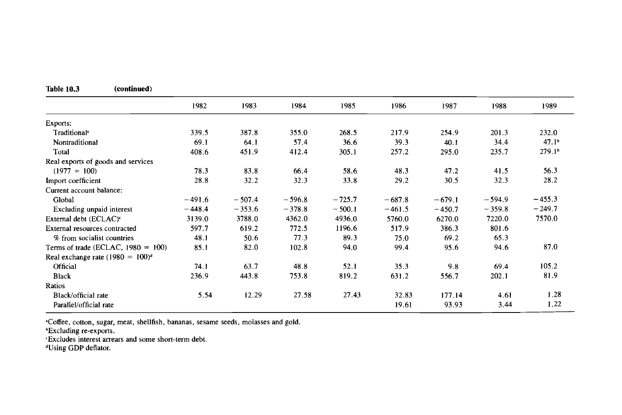|                                       | 1982     | 1983     | 1984     | 1985     | 1986     | 1987     | 1988     | 1989               |
|---------------------------------------|----------|----------|----------|----------|----------|----------|----------|--------------------|
| Exports:                              |          |          |          |          |          |          |          |                    |
| Traditional <sup>®</sup>              | 339.5    | 387.8    | 355.0    | 268.5    | 217.9    | 254.9    | 201.3    | 232.0              |
| Nontraditional                        | 69.1     | 64.1     | 57.4     | 36.6     | 39.3     | 40.1     | 34.4     | 47.1 <sup>b</sup>  |
| Total                                 | 408.6    | 451.9    | 412.4    | 305.1    | 257.2    | 295.0    | 235.7    | 279.1 <sup>b</sup> |
| Real exports of goods and services    |          |          |          |          |          |          |          |                    |
| $(1977 = 100)$                        | 78.3     | 83.8     | 66.4     | 58.6     | 48.3     | 47.2     | 41.5     | 56.3               |
| Import coefficient                    | 28.8     | 32.2     | 32.3     | 33.8     | 29.2     | 30.5     | 32.3     | 28.2               |
| Current account balance:              |          |          |          |          |          |          |          |                    |
| Global                                | $-491.6$ | $-507.4$ | $-596.8$ | $-725.7$ | $-687.8$ | $-679.1$ | $-594.9$ | $-455.3$           |
| Excluding unpaid interest             | $-448.4$ | $-353.6$ | $-378.8$ | $-500.1$ | $-461.5$ | $-450.7$ | $-359.8$ | $-249.7$           |
| External debt $(ECLAC)^c$             | 3139.0   | 3788.0   | 4362.0   | 4936.0   | 5760.0   | 6270.0   | 7220.0   | 7570.0             |
| External resources contracted         | 597.7    | 619.2    | 772.5    | 1196.6   | 517.9    | 386.3    | 801.6    |                    |
| % from socialist countries            | 48.1     | 50.6     | 77.3     | 89.3     | 75.0     | 69.2     | 65.3     |                    |
| Terms of trade (ECLAC, $1980 = 100$ ) | 85.1     | 82.0     | 102.8    | 94.0     | 99.4     | 95.6     | 94.6     | 87.0               |
| Real exchange rate $(1980 = 100)^d$   |          |          |          |          |          |          |          |                    |
| Official                              | 74.1     | 63.7     | 48.8     | 52.1     | 35.3     | 9.8      | 69.4     | 105.2              |
| <b>Black</b>                          | 236.9    | 443.8    | 753.8    | 819.2    | 631.2    | 556.7    | 202.1    | 81.9               |
| Ratios                                |          |          |          |          |          |          |          |                    |
| Black/official rate                   | 5.54     | 12.29    | 27.58    | 27.43    | 32.83    | 177.14   | 4.61     | 1.28               |
| Parallel/official rate                |          |          |          |          | 19.61    | 93.93    | 3.44     | 1.22               |
|                                       |          |          |          |          |          |          |          |                    |

'Coffee, cotton, sugar, meat, shellfish, bananas, sesame seeds, molasses and gold

bExcluding re-exports.

**Table 10.3 (continued)** 

cExcludes interest arrears and some short-term debt.

dUsing GDP deflator.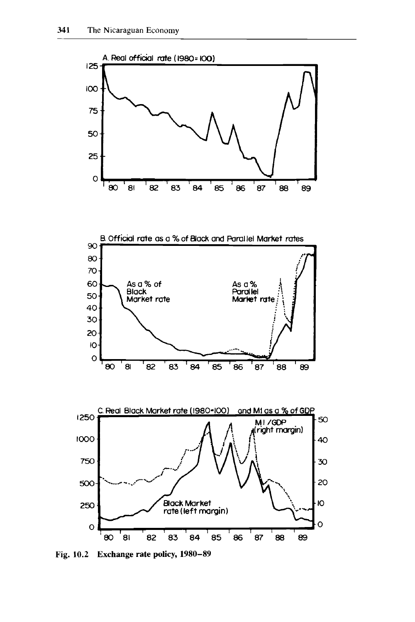





**Fig. 10.2 Exchange rate policy, 1980-89**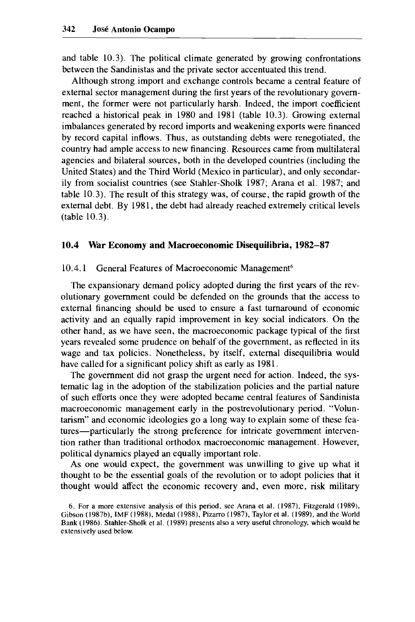and table 10.3). The political climate generated by growing confrontations between the Sandinistas and the private sector accentuated this trend.

Although strong import and exchange controls became a central feature of external sector management during the first years of the revolutionary government, the former were not particularly harsh. Indeed, the import coefficient reached a historical peak in 1980 and 1981 (table 10.3). Growing external imbalances generated by record imports and weakening exports were financed by record capital inflows. Thus, as outstanding debts were renegotiated, the country had ample access to new financing. Resources came from multilateral agencies and bilateral sources, both in the developed countries (including the United States) and the Third World (Mexico in particular), and only secondarily from socialist countries (see Stahler-Sholk 1987; Arana et al. 1987; and table 10.3). The result of this strategy was, of course, the rapid growth of the external debt. By 1981, the debt had already reached extremely critical levels (table 10.3).

#### **10.4 War Economy and Macroeconomic Disequilibria, 1982-87**

10.4.1 General Features of Macroeconomic Management<sup>6</sup>

The expansionary demand policy adopted during the first years of the revolutionary government could be defended on the grounds that the access to external financing should be used to ensure a fast turnaround of economic activity and an equally rapid improvement in key social indicators. On the other hand, as we have seen, the macroeconomic package typical of the first years revealed some prudence on behalf of the government, as reflected in its wage and tax policies. Nonetheless, by itself, external disequilibria would have called for a significant policy shift as early as 1981.

The government did not grasp the urgent need for action. Indeed, the systematic lag in the adoption of the stabilization policies and the partial nature of such efforts once they were adopted became central features of Sandinista macroeconomic management early in the postrevolutionary period. "Voluntarism" and economic ideologies go a long way to explain some of these features-particularly the strong preference for intricate government intervention rather than traditional orthodox macroeconomic management. However, political dynamics played an equally important role.

As one would expect, the government was unwilling to give up what **it**  thought to be the essential goals of the revolution or to adopt policies that it thought would affect the economic recovery and, even more, risk military

<sup>6.</sup> For a more extensive analysis of this period, see Arana et al. (1987). Fitzgerald (1989), Gibson (1987b), IMF (1988), Medal (1988), Pizarro (1987). Taylor et al. (1989), and the World **Bank** (1986). Stahler-Sholk et al. (1989) presents also a very useful chronology, which would be extensively used below.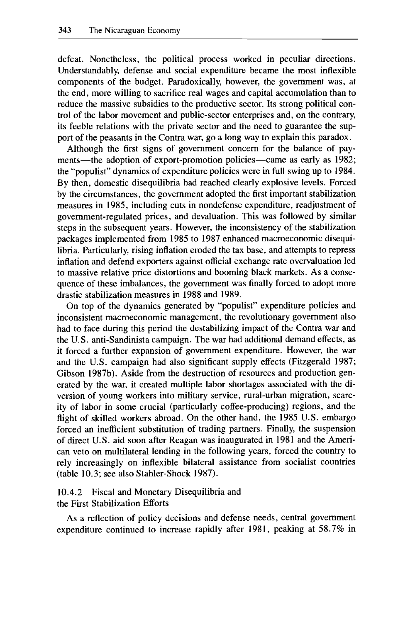defeat. Nonetheless, the political process worked in peculiar directions. Understandably, defense and social expenditure became the most inflexible components of the budget. Paradoxically, however, the government was, at the end, more willing to sacrifice real wages and capital accumulation than to reduce the massive subsidies to the productive sector. Its strong political control of the labor movement and public-sector enterprises and, on the contrary, its feeble relations with the private sector and the need to guarantee the support of the peasants in the Contra war, go a long way to explain this paradox.

Although the first signs of government concern for the balance of payments—the adoption of export-promotion policies—came as early as 1982; the "populist" dynamics of expenditure policies were in full swing up to 1984. By then, domestic disequilibria had reached clearly explosive levels. Forced by the circumstances, the government adopted the first important stabilization measures in 1985, including cuts in nondefense expenditure, readjustment of government-regulated prices, and devaluation. This was followed by similar steps in the subsequent years. However, the inconsistency of the stabilization packages implemented from 1985 to 1987 enhanced macroeconomic disequilibria. Particularly, rising inflation eroded the tax base, and attempts to repress inflation and defend exporters against official exchange rate overvaluation led to massive relative price distortions and booming black markets. As a consequence of these imbalances, the government was finally forced to adopt more drastic stabilization measures in 1988 and 1989.

On top of the dynamics generated by "populist" expenditure policies and inconsistent macroeconomic management, the revolutionary government also had to face during this period the destabilizing impact of the Contra war and the U.S. anti-Sandinista campaign. The war had additional demand effects, as it forced a further expansion of government expenditure. However, the war and the U.S. campaign had also significant supply effects (Fitzgerald 1987; Gibson 1987b). Aside from the destruction of resources and production generated by the war, it created multiple labor shortages associated with the diversion of young workers into military service, rural-urban migration, scarcity of labor in some crucial (particularly coffee-producing) regions, and the flight of skilled workers abroad. On the other hand, the 1985 U.S. embargo forced an inefficient substitution of trading partners. Finally, the suspension of direct U.S. aid soon after Reagan was inaugurated in 1981 and the American veto on multilateral lending in the following years, forced the country to rely increasingly on inflexible bilateral assistance from socialist countries (table 10.3; see also Stahler-Shock 1987).

# 10.4.2 Fiscal and Monetary Disequilibria and

the First Stabilization Efforts

As a reflection of policy decisions and defense needs, central government expenditure continued to increase rapidly after 1981, peaking at 58.7% in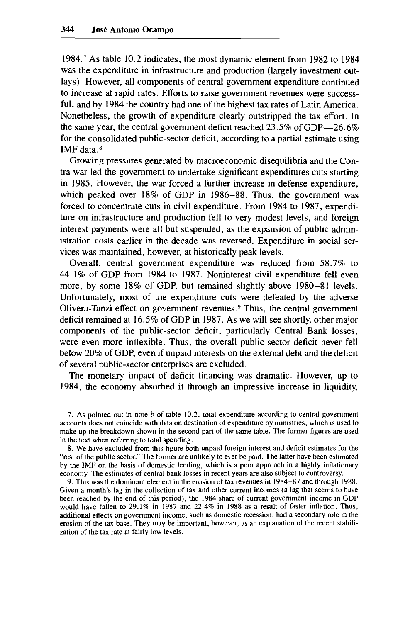1984.' **As** table 10.2 indicates, the most dynamic element from 1982 to 1984 was the expenditure in infrastructure and production (largely investment outlays). However, all components of central government expenditure continued to increase at rapid rates. Efforts to raise government revenues were successful, and by 1984 the country had one of the highest tax rates of Latin America. Nonetheless, the growth of expenditure clearly outstripped the tax effort. In the same year, the central government deficit reached 23.5% of GDP-26.6% for the consolidated public-sector deficit, according to a partial estimate using IMF data.\*

Growing pressures generated by macroeconomic disequilibria and the Contra war led the government to undertake significant expenditures cuts starting in 1985. However, the war forced a further increase in defense expenditure, which peaked over 18% of GDP in 1986-88. Thus, the government was forced to concentrate cuts in civil expenditure. From 1984 to 1987, expenditure on infrastructure and production fell to very modest levels, and foreign interest payments were all but suspended, as the expansion of public administration costs earlier in the decade was reversed. Expenditure in social services was maintained, however, at historically peak levels.

Overall, central government expenditure was reduced from 58.7% to 44.1% of GDP from 1984 to 1987. Noninterest civil expenditure fell even more, by some 18% of GDP, but remained slightly above 1980-81 levels. Unfortunately, most of the expenditure cuts were defeated by the adverse Olivera-Tanzi effect on government revenues.<sup>9</sup> Thus, the central government deficit remained at 16.5% of GDP in 1987. **As** we will see shortly, other major components of the public-sector deficit, particularly Central Bank losses, were even more inflexible. Thus, the overall public-sector deficit never fell below 20% of GDP, even if unpaid interests on the external debt and the deficit of several public-sector enterprises are excluded.

The monetary impact of deficit financing was dramatic. However, up to 1984, the economy absorbed it through an impressive increase in liquidity,

7. **As** pointed out in note b of table 10.2, total expenditure according to central government accounts does not coincide with data on destination of expenditure by ministries, which is used to make up the breakdown shown in the second part of the same table. The former figures are used in the text when referring to total spending.

8. We have excluded from this figure both unpaid foreign interest and deficit estimates for the "rest of the public sector." The former are unlikely to ever be paid. The latter have been estimated by the IMF on the basis of domestic lending, which is a poor approach in a highly inflationary economy. The estimates of central bank losses in recent years are also subject to controversy.

9. This was the dominant element in the erosion of tax revenues in 1984-87 and through 1988. Given a month's lag in the collection of tax and other current incomes (a lag that seems to have been reached by the end of this period), the 1984 share of current government income in GDP would have fallen to 29.1% in 1987 and 22.4% in 1988 as a result of faster inflation. Thus, additional effects on government income, such as domestic recession, had a secondary role in the erosion of the tax base. They may be important, however, as an explanation of the recent stabilization of the tax rate at fairly low levels.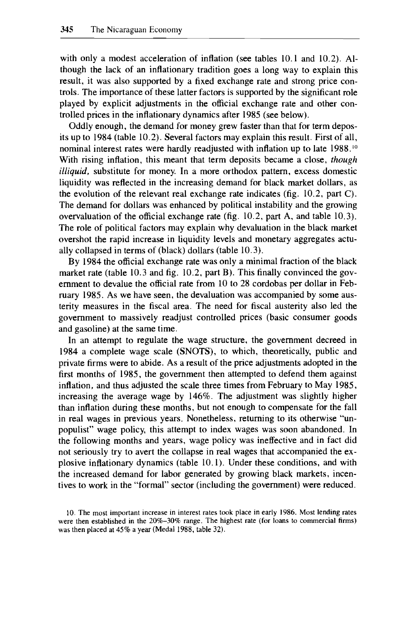with only a modest acceleration of inflation (see tables 10.1 and 10.2). Although the lack of an inflationary tradition goes a long way to explain this result, it was also supported by a fixed exchange rate and strong price controls. The importance of these latter factors is supported by the significant role played by explicit adjustments in the official exchange rate and other controlled prices in the inflationary dynamics after 1985 (see below).

Oddly enough, the demand for money grew faster than that for term deposits up to 1984 (table 10.2). Several factors may explain this result. First of all, nominal interest rates were hardly readjusted with inflation up to late 1988.1° With rising inflation, this meant that term deposits became a close, *though illiquid,* substitute for money. In a more orthodox pattern, excess domestic liquidity was reflected in the increasing demand for black market dollars, as the evolution of the relevant real exchange rate indicates (fig. 10.2, part C). The demand for dollars was enhanced by political instability and the growing overvaluation of the official exchange rate (fig. 10.2, part **A,** and table 10.3). The role of political factors may explain why devaluation in the black market overshot the rapid increase in liquidity levels and monetary aggregates actually collapsed in terms of (black) dollars (table 10.3).

By 1984 the official exchange rate was only a minimal fraction of the black market rate (table 10.3 and fig. 10.2, part B). This finally convinced the government to devalue the official rate from 10 to 28 cordobas per dollar in February 1985. As we have seen, the devaluation was accompanied by some austerity measures in the fiscal area. The need for fiscal austerity also led the government to massively readjust controlled prices (basic consumer goods and gasoline) at the same time.

In an attempt to regulate the wage structure, the government decreed in 1984 a complete wage scale (SNOTS), to which, theoretically, public and private firms were to abide. As a result of the price adjustments adopted in the first months of 1985, the government then attempted to defend them against inflation, and thus adjusted the scale three times from February to May 1985, increasing the average wage by 146%. The adjustment was slightly higher than inflation during these months, but not enough to compensate for the fall in real wages in previous years. Nonetheless, returning to its otherwise "unpopulist" wage policy, this attempt to index wages was soon abandoned. In the following months and years, wage policy was ineffective and in fact did not seriously try to avert the collapse in real wages that accompanied the explosive inflationary dynamics (table 10.1). Under these conditions, and with the increased demand for labor generated by growing black markets, incentives to work in the "formal" sector (including the government) were reduced.

<sup>10.</sup> **The most important increase in interest rates took place in early 1986. Most lending rates were then established in the 20%-30% range. The highest rate (for loans to commercial firms)**  was **then placed at 45% a year (Medal 1988, table 32).**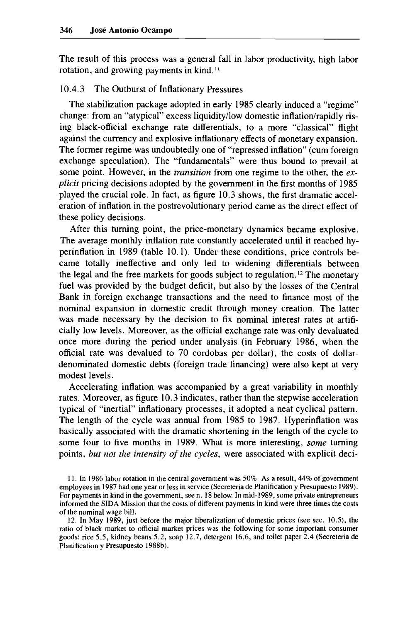The result of this process was a general fall in labor productivity, high labor rotation, and growing payments in kind."

#### 10.4.3 The Outburst of Inflationary Pressures

The stabilization package adopted in early 1985 clearly induced a "regime" change: from an "atypical" excess liquidity/low domestic inflation/rapidly rising black-official exchange rate differentials, to a more "classical" flight against the currency and explosive inflationary effects of monetary expansion. The former regime was undoubtedly one of "repressed inflation" (cum foreign exchange speculation). The "fundamentals" were thus bound to prevail at some point. However, in the *transition* from one regime to the other, the *explicit* pricing decisions adopted by the government in the first months of 1985 played the crucial role. In fact, as figure 10.3 shows, the first dramatic acceleration of inflation in the postrevolutionary period came as the direct effect of these policy decisions.

After this turning point, the price-monetary dynamics became explosive. The average monthly inflation rate constantly accelerated until it reached hyperinflation in 1989 (table 10.1). Under these conditions, price controls became totally ineffective and only led to widening differentials between the legal and the free markets for goods subject to regulation.<sup>12</sup> The monetary fuel was provided by the budget deficit, but also by the losses of the Central Bank in foreign exchange transactions and the need to finance most of the nominal expansion in domestic credit through money creation. The latter was made necessary by the decision to fix nominal interest rates at artificially low levels. Moreover, as the official exchange rate was only devaluated once more during the period under analysis (in February 1986, when the official rate was devalued to 70 cordobas per dollar), the costs of dollardenominated domestic debts (foreign trade financing) were also kept at very modest levels.

Accelerating inflation was accompanied by a great variability in monthly rates. Moreover, as figure 10.3 indicates, rather than the stepwise acceleration typical of "inertial" inflationary processes, it adopted a neat cyclical pattern. The length of the cycle was annual from 1985 to 1987. Hyperinflation was basically associated with the dramatic shortening in the length of the cycle to some four to five months in 1989. What is more interesting, *some* turning points, *but not the intensity of the cycles,* were associated with explicit deci-

**<sup>11.</sup>** In **1986 labor rotation in the central government was 50%. As a result, 44% of government employees in 1987 had** one **year** or **less in service (Secreteria de Planification y Presupuesto 1989). For payments in kind in the government, see** n. **18 below. In mid-1989, some private entrepreneurs informed the SIDA Mission that the costs of different payments in kind were three times the costs**  of **the nominal wage bill.** 

**<sup>12.</sup> In May 1989, just before the major liberalization of domestic prices (see sec. 10.5). the ratio of black market to official market prices was the following for some important consumer goods: rice 5.5, kidney beans 5.2, soap 12.7, detergent 16.6, and toilet paper 2.4 (Secreteria de Planification y Presupuesto 1988b).**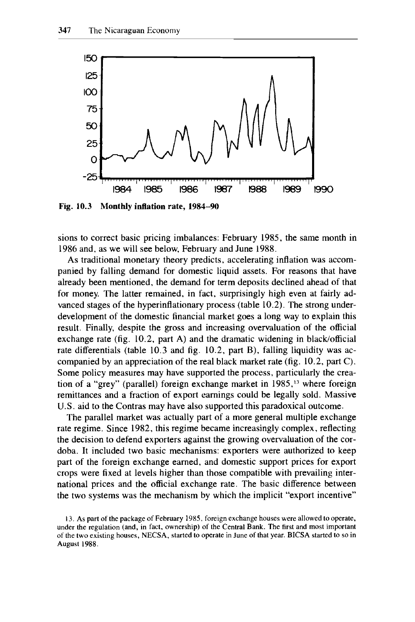

**Fig. 10.3 Monthly inflation rate, 1984-90** 

sions to correct basic pricing imbalances: February 1985, the same month in 1986 and, as we will see below, February and June 1988.

**As** traditional monetary theory predicts, accelerating inflation was accompanied by falling demand for domestic liquid assets. For reasons that have already been mentioned, the demand for term deposits declined ahead of that for money. The latter remained, in fact, surprisingly high even at fairly advanced stages of the hyperinflationary process (table 10.2). The strong underdevelopment of the domestic financial market goes a long way to explain this result. Finally, despite the gross and increasing overvaluation **of** the official exchange rate (fig.  $10.2$ , part A) and the dramatic widening in black/official rate differentials (table 10.3 and fig. 10.2, part B), falling liquidity was accompanied by an appreciation of the real black market rate (fig. 10.2, part C). Some policy measures may have supported the process, particularly the creation of a "grey" (parallel) foreign exchange market in  $1985$ ,<sup>13</sup> where foreign remittances and a fraction of export earnings could be legally sold. Massive **U.S.** aid to the Contras may have also supported this paradoxical outcome.

The parallel market was actually part of a more general multiple exchange rate regime. Since 1982, this regime became increasingly complex, reflecting the decision to defend exporters against the growing overvaluation of the cordoba. It included two basic mechanisms: exporters were authorized to keep part of the foreign exchange earned, and domestic support prices for export crops were fixed at levels higher than those compatible with prevailing international prices and the official exchange rate. The basic difference between the two systems was the mechanism by which the implicit "export incentive"

**<sup>13.</sup>** As part of the package of February 1985, foreign exchange houses were allowed to operate, under the regulation (and, in fact, ownership) of the Central Bank. The first and most important of the two existing houses, NECSA, started to operate in June of that year. BICSA started to so in August 1988.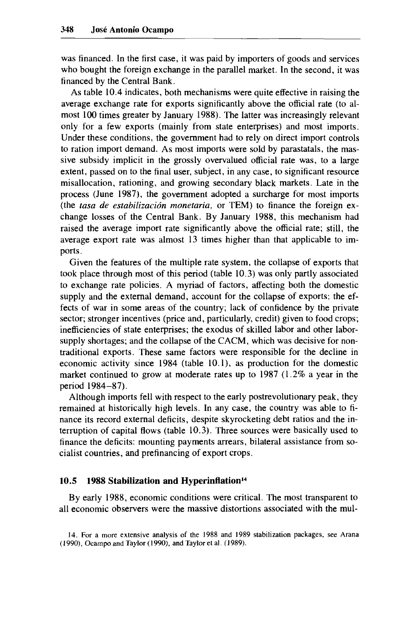was financed. In the first case, it was paid by importers of goods and services who bought the foreign exchange in the parallel market. In the second, it was financed by the Central Bank.

As table 10.4 indicates, both mechanisms were quite effective in raising the average exchange rate for exports significantly above the official rate (to almost 100 times greater by January 1988). The latter was increasingly relevant only for a few exports (mainly from state enterprises) and most imports. Under these conditions, the government had to rely on direct import controls to ration import demand. As most imports were sold by parastatals, the massive subsidy implicit in the grossly overvalued official rate was, to a large extent, passed on to the final user, subject, in any case, to significant resource misallocation, rationing, and growing secondary black markets. Late in the process (June 1987), the government adopted a surcharge for most imports (the *tasa de estabilizacidn monetaria,* or TEM) to finance the foreign exchange losses of the Central Bank. By January 1988, this mechanism had raised the average import rate significantly above the official rate; still, the average export rate was almost **13** times higher than that applicable to imports.

Given the features of the multiple rate system, the collapse of exports that took place through most of this period (table 10.3) was only partly associated to exchange rate policies. A myriad of factors, affecting both the domestic supply and the external demand, account for the collapse of exports: the effects of war in some areas of the country; lack of confidence by the private sector; stronger incentives (price and, particularly, credit) given to food crops; inefficiencies of state enterprises; the exodus of skilled labor and other laborsupply shortages; and the collapse of the CACM, which was decisive for nontraditional exports. These same factors were responsible for the decline in economic activity since 1984 (table lO.l), as production for the domestic market continued to grow at moderate rates up to 1987 **(I** *.2%* a year in the period 1984-87).

Although imports fell with respect to the early postrevolutionary peak, they remained at historically high levels. In any case, the country was able to finance its record external deficits, despite skyrocketing debt ratios and the interruption of capital flows (table 10.3). Three sources were basically used to finance the deficits: mounting payments arrears, bilateral assistance from socialist countries, and prefinancing of export crops.

#### 10.5 1988 Stabilization and Hyperinflation<sup>14</sup>

By early 1988, economic conditions were critical. The most transparent to all economic observers were the massive distortions associated with the mul-

<sup>14.</sup> For a more extensive analysis of the 1988 and 1989 stabilization packages, see Arana  $(1990)$ , Ocampo and Taylor $(1990)$ , and Taylor et al.  $(1989)$ .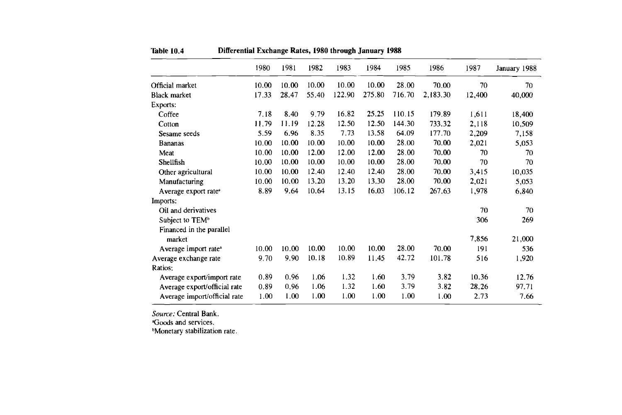|                                    | 1980  | 1981  | 1982  | 1983   | 1984   | 1985   | 1986     | 1987   | January 1988 |
|------------------------------------|-------|-------|-------|--------|--------|--------|----------|--------|--------------|
| Official market                    | 10.00 | 10.00 | 10.00 | 10.00  | 10.00  | 28.00  | 70.00    | 70     | 70           |
| <b>Black market</b>                | 17.33 | 28.47 | 55.40 | 122.90 | 275.80 | 716.70 | 2,183.30 | 12,400 | 40,000       |
| Exports:                           |       |       |       |        |        |        |          |        |              |
| Coffee                             | 7.18  | 8.40  | 9.79  | 16.82  | 25.25  | 110.15 | 179.89   | 1,611  | 18,400       |
| Cotton                             | 11.79 | 11.19 | 12.28 | 12.50  | 12.50  | 144.30 | 733.32   | 2,118  | 10,509       |
| Sesame seeds                       | 5.59  | 6.96  | 8.35  | 7.73   | 13.58  | 64.09  | 177.70   | 2,209  | 7,158        |
| <b>Bananas</b>                     | 10.00 | 10.00 | 10.00 | 10.00  | 10.00  | 28.00  | 70.00    | 2,021  | 5,053        |
| Meat                               | 10.00 | 10.00 | 12.00 | 12.00  | 12.00  | 28.00  | 70.00    | 70     | 70           |
| Shellfish                          | 10.00 | 10.00 | 10.00 | 10.00  | 10.00  | 28.00  | 70.00    | 70     | 70           |
| Other agricultural                 | 10.00 | 10.00 | 12.40 | 12.40  | 12.40  | 28.00  | 70.00    | 3,415  | 10,035       |
| Manufacturing                      | 10.00 | 10.00 | 13.20 | 13.20  | 13.30  | 28.00  | 70.00    | 2,021  | 5,053        |
| Average export rate <sup>®</sup>   | 8.89  | 9.64  | 10.64 | 13.15  | 16.03  | 106.12 | 267.63   | 1,978  | 6,840        |
| Imports:                           |       |       |       |        |        |        |          |        |              |
| Oil and derivatives                |       |       |       |        |        |        |          | 70     | 70           |
| Subject to TEM <sup>b</sup>        |       |       |       |        |        |        |          | 306    | 269          |
| Financed in the parallel<br>market |       |       |       |        |        |        |          | 7,856  | 21,000       |
| Average import rate <sup>a</sup>   | 10.00 | 10.00 | 10.00 | 10.00  | 10.00  | 28.00  | 70.00    | 191    | 536          |
| Average exchange rate              | 9.70  | 9.90  | 10.18 | 10.89  | 11.45  | 42.72  | 101.78   | 516    | 1,920        |
| Ratios:                            |       |       |       |        |        |        |          |        |              |
| Average export/import rate         | 0.89  | 0.96  | 1.06  | 1.32   | 1.60   | 3.79   | 3.82     | 10.36  | 12.76        |
| Average export/official rate       | 0.89  | 0.96  | 1.06  | 1.32   | 1.60   | 3.79   | 3.82     | 28.26  | 97.71        |
| Average import/official rate       | 1.00  | 1.00  | 1.00  | 1.00   | 1.00   | 1.00   | 1.00     | 2.73   | 7.66         |
|                                    |       |       |       |        |        |        |          |        |              |

# **Table 10.4 Differential Exchange Rates, 1980 through January 1988**

Source: Central Bank.

Goods and services.

<sup>b</sup>Monetary stabilization rate.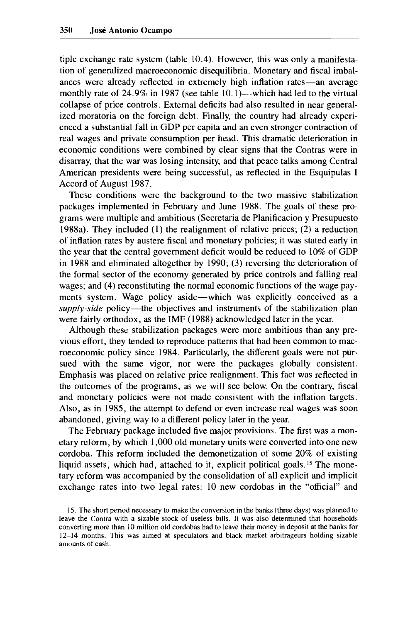tiple exchange rate system (table 10.4). However, this was only a manifestation of generalized macroeconomic disequilibria. Monetary and fiscal imbalances were already reflected in extremely high inflation rates—an average monthly rate of  $24.9\%$  in 1987 (see table 10.1)—which had led to the virtual collapse of price controls. External deficits had also resulted in near generalized moratoria on the foreign debt. Finally, the country had already experienced a substantial fall in GDP per capita and an even stronger contraction of real wages and private consumption per head. This dramatic deterioration in economic conditions were combined by clear signs that the Contras were in disarray, that the war was losing intensity, and that peace talks among Central American presidents were being successful, as reflected in the Esquipulas **I**  Accord of August 1987.

These conditions were the background to the two massive stabilization packages implemented in February and June 1988. The goals of these programs were multiple and ambitious (Secretaria de Planificacion y Presupuesto 1988a). They included (1) the realignment of relative prices; (2) a reduction of inflation rates by austere fiscal and monetary policies; it was stated early in the year that the central government deficit would be reduced to 10% of GDP in 1988 and eliminated altogether by 1990; (3) reversing the deterioration of the formal sector of the economy generated by price controls and falling real wages; and (4) reconstituting the normal economic functions of the wage payments system. Wage policy aside—which was explicitly conceived as a *supply-side* policy—the objectives and instruments of the stabilization plan were fairly orthodox, as the IMF (1988) acknowledged later in the year.

Although these stabilization packages were more ambitious than any previous effort, they tended to reproduce patterns that had been common to macroeconomic policy since 1984. Particularly, the different goals were not pursued with the same vigor, nor were the packages globally consistent. Emphasis was placed on relative price realignment. This fact was reflected in the outcomes of the programs, as we will see below. On the contrary, fiscal and monetary policies were not made consistent with the inflation targets. Also, as in 1985, the attempt to defend or even increase real wages was soon abandoned, giving way to a different policy later in the year.

The February package included five major provisions. The first was a monetary reform, by which 1,000 old monetary units were converted into one new cordoba. This reform included the demonetization of some 20% of existing liquid assets, which had, attached to it, explicit political goals.<sup>15</sup> The monetary reform was accompanied by the consolidation of all explicit and implicit exchange rates into two legal rates: 10 new cordobas in the "official" and

<sup>15.</sup> The short period necessary to make the conversion in the banks (three days) was planned to leave the Contra with a sizable stock of **useless** bills. It was also determined that households converting more than 10 million old cordobas had to leave their money in deposit at the banks for 12-14 months. This was aimed at speculators and black market arbitrageurs holding sizable amounts of **cash.**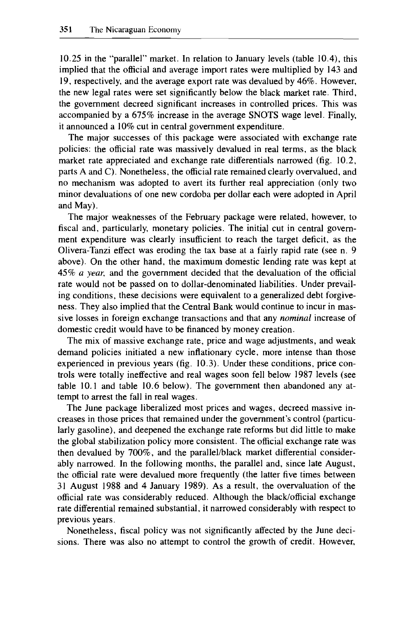10.25 in the "parallel" market. In relation to January levels (table 10.4), this implied that the official and average import rates were multiplied by 143 and 19, respectively, and the average export rate was devalued by 46%. However, the new legal rates were set significantly below the black market rate. Third, the government decreed significant increases in controlled prices. This was accompanied by a 675% increase in the average SNOTS wage level. Finally, it announced a 10% cut in central government expenditure.

The major successes of this package were associated with exchange rate policies: the official rate was massively devalued in real terms, as the black market rate appreciated and exchange rate differentials narrowed (fig. 10.2, parts A and C). Nonetheless, the official rate remained clearly overvalued, and no mechanism was adopted to avert its further real appreciation (only two minor devaluations of one new cordoba per dollar each were adopted in April and May).

The major weaknesses of the February package were related, however, to fiscal and, particularly, monetary policies. The initial cut in central government expenditure was clearly insufficient to reach the target deficit, as the Olivera-Tanzi effect was eroding the tax base at a fairly rapid rate (see n. 9 above). On the other hand, the maximum domestic lending rate was kept at 45% a year, and the government decided that the devaluation of the official rate would not be passed on to dollar-denominated liabilities. Under prevailing conditions, these decisions were equivalent to a generalized debt forgiveness. They also implied that the Central Bank would continue to incur in massive losses in foreign exchange transactions and that any *nominal* increase of domestic credit would have to be financed by money creation.

The mix of massive exchange rate, price and wage adjustments, and weak demand policies initiated a new inflationary cycle, more intense than those experienced in previous years (fig. 10.3). Under these conditions, price controls were totally ineffective and real wages soon fell below 1987 levels (see table 10.1 and table 10.6 below). The government then abandoned any attempt to arrest the fall in real wages.

The June package liberalized most prices and wages, decreed massive increases in those prices that remained under the government's control (particularly gasoline), and deepened the exchange rate reforms but did little to make the global stabilization policy more consistent. The official exchange rate was then devalued by 700%, and the parallel/black market differential considerably narrowed. In the following months, the parallel and, since late August, the official rate were devalued more frequently (the latter five times between 31 August 1988 and 4 January 1989). As a result, the overvaluation of the official rate was considerably reduced. Although the black/official exchange rate differential remained substantial, it narrowed considerably with respect to previous years.

Nonetheless, fiscal policy was not significantly affected by the June decisions. There was also no attempt to control the growth of credit. However,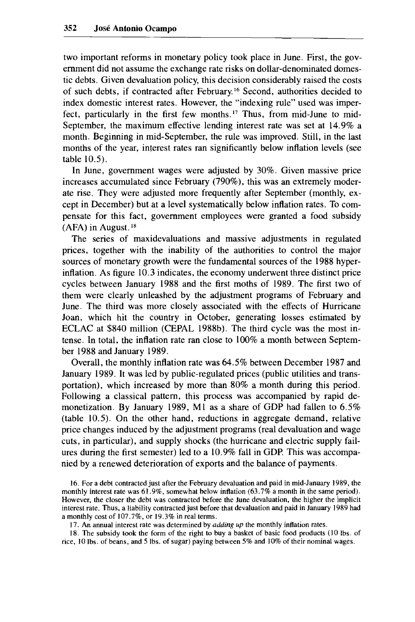two important reforms in monetary policy took place in June. First, the government did not assume the exchange rate risks on dollar-denominated domestic debts. Given devaluation policy, this decision considerably raised the costs of such debts, if contracted after February.<sup>16</sup> Second, authorities decided to index domestic interest rates. However, the "indexing rule" used was imperfect, particularly in the first few months." Thus, from mid-June to mid-September, the maximum effective lending interest rate was set at 14.9% a month. Beginning in mid-September, the rule was improved. Still, in the last months of the year, interest rates ran significantly below inflation levels (see table 10.5).

In June, government wages were adjusted by 30%. Given massive price increases accumulated since February (790%), this was an extremely moderate rise. They were adjusted more frequently after September (monthly, except in December) but at a level systematically below inflation rates. To compensate for this fact, government employees were granted a food subsidy  $(AFA)$  in August.<sup>18</sup>

The series of maxidevaluations and massive adjustments in regulated prices, together with the inability of the authorities to control the major sources of monetary growth were the fundamental sources of the 1988 hyperinflation. As figure 10.3 indicates, the economy underwent three distinct price cycles between January 1988 and the first moths of 1989. The first two of them were clearly unleashed by the adjustment programs of February and June. The third was more closely associated with the effects of Hurricane Joan, which hit the country in October, generating losses estimated by ECLAC at \$840 million (CEPAL 1988b). The third cycle was the most intense. In total, the inflation rate ran close to 100% a month between September 1988 and January 1989.

Overall, the monthly inflation rate was 64.5% between December 1987 and January 1989. It was led by public-regulated prices (public utilities and transportation), which increased by more than 80% a month during this period. Following a classical pattern, this process was accompanied by rapid demonetization. By January 1989, M1 as a share of GDP had fallen to 6.5% (table 10.5). On the other hand, reductions in aggregate demand, relative price changes induced by the adjustment programs (real devaluation and wage cuts, in particular), and supply shocks (the hurricane and electric supply failures during the first semester) led to a 10.9% fall in GDP. This was accompanied by a renewed deterioration of exports and the balance of payments.

**16. For a debt contracted just after the February devaluation and paid in mid-January 1989, the monthly interest rate was 61.9%, somewhat below inflation (63.7% a month in the same period). However, the closer the debt was contracted before the June devaluation, the higher the implicit interest rate. Thus, a liability contracted just before that devaluation and paid in January 1989 had a monthly cost of 107.7%, or 19.3% in real terms.** 

**17. An annual interest rate was determined by** *adding up* **the monthly inflation rates.** 

**18. The subsidy took the form of the right to buy a basket of basic food products** (10 **lbs. of rice, 10 Ibs. of beans, and 5 Ibs. of sugar) paying between 5% and 10% of their nominal wages.**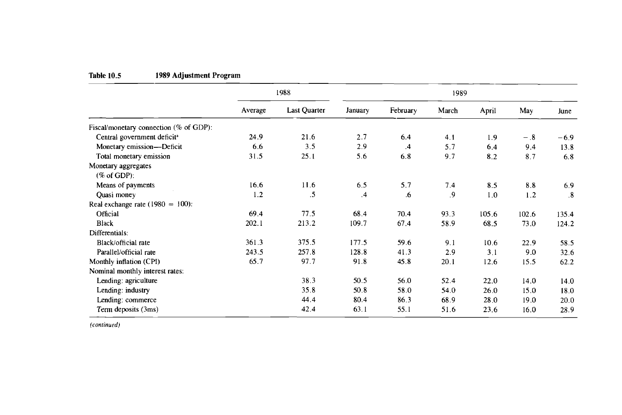# Table **10.5 1989 Adjustment Program**

|                                         |         | 1988                    |                |          |       |       |       |           |
|-----------------------------------------|---------|-------------------------|----------------|----------|-------|-------|-------|-----------|
|                                         | Average | <b>Last Quarter</b>     | January        | February | March | April | May   | June      |
| Fiscal/monetary connection (% of GDP):  |         |                         |                |          |       |       |       |           |
| Central government deficit <sup>3</sup> | 24.9    | 21.6                    | 2.7            | 6.4      | 4.1   | 1.9   | $-.8$ | $-6.9$    |
| Monetary emission-Deficit               | 6.6     | 3.5                     | 2.9            | $\cdot$  | 5.7   | 6.4   | 9.4   | 13.8      |
| Total monetary emission                 | 31.5    | 25.1                    | 5.6            | 6.8      | 9.7   | 8.2   | 8.7   | 6.8       |
| Monetary aggregates                     |         |                         |                |          |       |       |       |           |
| $(\% \text{ of GDP})$ :                 |         |                         |                |          |       |       |       |           |
| Means of payments                       | 16.6    | 11.6                    | 6.5            | 5.7      | 7.4   | 8.5   | 8.8   | 6.9       |
| Quasi money                             | 12      | $\overline{\mathbf{5}}$ | $\overline{4}$ | -6       | .9    | 1.0   | 1.2   | $\cdot$ 8 |
| Real exchange rate $(1980 = 100)$ :     |         |                         |                |          |       |       |       |           |
| Official                                | 69.4    | 77.5                    | 684            | 70.4     | 93.3  | 105.6 | 102.6 | 135.4     |
| <b>Black</b>                            | 202.1   | 213.2                   | 109.7          | 67.4     | 58.9  | 68.5  | 73.0  | 124.2     |
| Differentials:                          |         |                         |                |          |       |       |       |           |
| Black/official rate                     | 361.3   | 375.5                   | 177.5          | 59.6     | 9.1   | 10.6  | 22.9  | 58.5      |
| Parallel/official rate                  | 243.5   | 257.8                   | 128.8          | 41.3     | 2.9   | 3.1   | 9.0   | 32.6      |
| Monthly inflation (CPI)                 | 65.7    | 97.7                    | 918            | 45.8     | 20.1  | 12.6  | 15.5  | 62.2      |
| Nominal monthly interest rates:         |         |                         |                |          |       |       |       |           |
| Lending: agriculture                    |         | 38.3                    | 50.5           | 56.0     | 52.4  | 22.0  | 14.0  | 14.0      |
| Lending: industry                       |         | 358                     | 50.8           | 58.0     | 54.0  | 26.0  | 15.0  | 180       |
| Lending: commerce                       |         | 44.4                    | 80.4           | 86.3     | 68.9  | 28.0  | 19.0  | 20.0      |
| Term deposits (3ms)                     |         | 42.4                    | 63.1           | 55.1     | 51.6  | 23.6  | 16.0  | 28.9      |

*(continued)*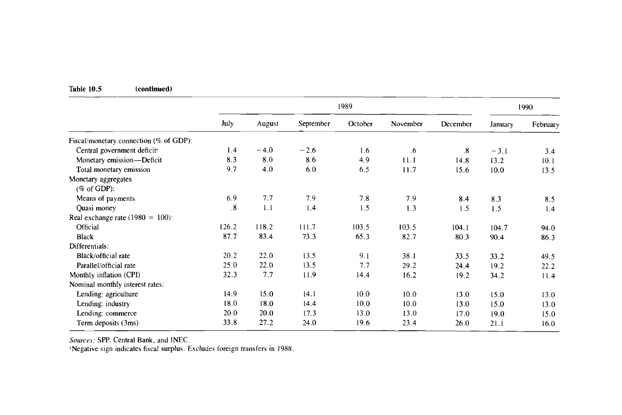# **Table 10.5 (continued)**

|                                           |                         |        |           | 1990    |          |                   |         |          |
|-------------------------------------------|-------------------------|--------|-----------|---------|----------|-------------------|---------|----------|
|                                           | July                    | August | September | October | November | December          | January | February |
| Fiscal/monetary connection $(\%$ of GDP): |                         |        |           |         |          |                   |         |          |
| Central government deficit <sup>a</sup>   | 1.4                     | $-4.0$ | $-2.6$    | 1.6     | .6       | $\boldsymbol{.8}$ | $-3.1$  | 3.4      |
| Monetary emission-Deficit                 | 8.3                     | 8.0    | 8.6       | 4.9     | 11.1     | 14.8              | 13.2    | 10.1     |
| Total monetary emission                   | 9.7                     | 4.0    | 6.0       | 6.5     | 11.7     | 15.6              | 10.0    | 13.5     |
| Monetary aggregates<br>(% of GDP):        |                         |        |           |         |          |                   |         |          |
| Means of payments                         | 6.9                     | 7.7    | 7.9       | 7.8     | 7.9      | 8.4               | 8.3     | 8.5      |
| Quasi money                               | $\overline{\mathbf{8}}$ | 1.1    | 1.4       | 1.5     | 1.3      | 1.5               | 1.5     | 1.4      |
| Real exchange rate $(1980 = 100)$ :       |                         |        |           |         |          |                   |         |          |
| Official                                  | 126.2                   | 118.2  | 111.7     | 103.5   | 103.5    | 104.1             | 104.7   | 94.0     |
| <b>Black</b>                              | 87.7                    | 83.4   | 73.3      | 65.3    | 82.7     | 80.3              | 90.4    | 86.3     |
| Differentials:                            |                         |        |           |         |          |                   |         |          |
| Black/official rate                       | 20.2                    | 22.0   | 13.5      | 9.1     | 38.1     | 33.5              | 33.2    | 49.5     |
| Parallel/official rate                    | 25.0                    | 22.0   | 13.5      | 7.7     | 29.2     | 24.4              | 19.2    | 22.2     |
| Monthly inflation (CPI)                   | 32.3                    | 7.7    | 11.9      | 14.4    | 16.2     | 19.2              | 34.2    | 11.4     |
| Nominal monthly interest rates:           |                         |        |           |         |          |                   |         |          |
| Lending: agriculture                      | 14.9                    | 15.0   | 14.1      | 10.0    | 10.0     | 130               | 15.0    | 13.0     |
| Lending: industry                         | 18.0                    | 18.0   | 14.4      | 10.0    | 10.0     | 13.0              | 150     | 13.0     |
| Lending: commerce                         | 20.0                    | 20.0   | 17.3      | 13.0    | 13.0     | 17.0              | 19.0    | 15.0     |
| Term deposits (3ms)                       | 33.8                    | 27.2   | 24.0      | 19.6    | 23.4     | 26.0              | 21.1    | 16.0     |

*Source\$:* SPP. Central Bank, and INEC.

Negative sign indicates fiscal surplus. Excludes foreign transfers in 1988.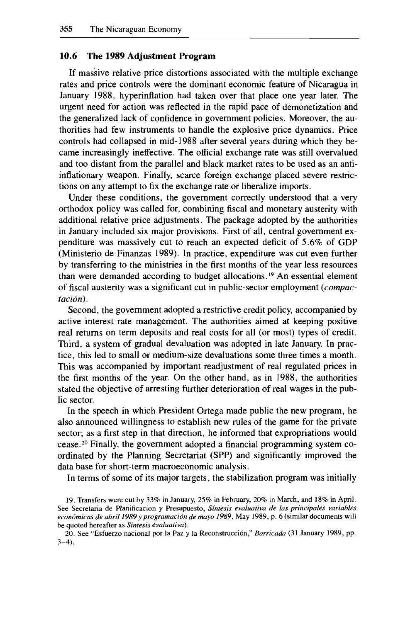### **10.6 The 1989 Adjustment Program**

If massive relative price distortions associated with the multiple exchange rates and price controls were the dominant economic feature of Nicaragua in January 1988, hyperinflation had taken over that place one year later. The urgent need for action was reflected in the rapid pace of demonetization and the generalized lack of confidence in government policies. Moreover, the authorities had few instruments to handle the explosive price dynamics. Price controls had collapsed in mid-1988 after several years during which they became increasingly ineffective. The official exchange rate was still overvalued and too distant from the parallel and black market rates to be used as an antiinflationary weapon. Finally, scarce foreign exchange placed severe restrictions on any attempt to fix the exchange rate or liberalize imports.

Under these conditions, the government correctly understood that a very orthodox policy was called for, combining fiscal and monetary austerity with additional relative price adjustments. The package adopted by the authorities in January included six major provisions. First of all, central government expenditure was massively cut to reach an expected deficit of *5.6%* of GDP (Ministerio de Finanzas 1989). In practice, expenditure was cut even further by transferring to the ministries in the first months of the year less resources than were demanded according to budget allocations. **I9** An essential element of fiscal austerity was a significant cut in public-sector employment *(compuc*tación).

Second, the government adopted a restrictive credit policy, accompanied by active interest rate management. The authorities aimed at keeping positive real returns on term deposits and real costs for all (or most) types of credit. Third, a system of gradual devaluation was adopted in late January. In practice, this led to small or medium-size devaluations some three times a month. This was accompanied by important readjustment of real regulated prices in the first months of the year. On the other hand, as in 1988, the authorities stated the objective of arresting further deterioration of real wages in the public sector.

In the speech in which President Ortega made public the new program, he also announced willingness to establish new rules of the game for the private sector; as a first step in that direction, he informed that expropriations would cease.<sup>20</sup> Finally, the government adopted a financial programming system coordinated by the Planning Secretariat (SPP) and significantly improved the data base for short-term macroeconomic analysis.

In terms of some of its major targets, the stabilization program was initially

19. Transfers were cut by **33%** in January, 25% in February, 20% in March, and 18% in April. See Secretaria de Planificacion y Presupuesto, *Sintesis evaluativa de las principales variables econdmicas de abril I989 yprogramacidn de mayo 1989,* May 1989, p. 6 (similar documents will be quoted hereafter as *Sintesis evaluativa).* 

20. See "Esfuerzo nacional por la Paz **p** la Reconstrucci6n," *Barricada* **(31** January 1989, pp.  $3-4$ ).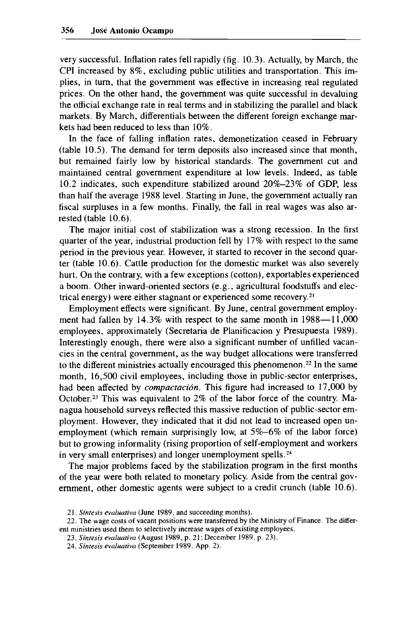very successful. Inflation rates fell rapidly (fig. 10.3). Actually, by March, the CPI increased by 8%, excluding public utilities and transportation. This implies, in turn, that the government was effective in increasing real regulated prices. On the other hand, the government was quite successful in devaluing the official exchange rate in real terms and in stabilizing the parallel and black markets. By March, differentials between the different foreign exchange markets had been reduced to less than 10%.

In the face of falling inflation rates, demonetization ceased in February (table 10.5). The demand for term deposits also increased since that month, but remained fairly low by historical standards. The government cut and maintained central government expenditure at low levels. Indeed, as table 10.2 indicates, such expenditure stabilized around 20%-23% of GDP, less than half the average 1988 level. Starting in June, the government actually ran fiscal surpluses in a few months. Finally, the fall in real wages was also arrested (table 10.6).

The major initial cost of stabilization was a strong recession. In the first quarter of the year, industrial production fell by 17% with respect to the same period in the previous year. However, it started to recover in the second quarter (table 10.6). Cattle production for the domestic market was also severely hurt. On the contrary, with a few exceptions (cotton), exportables experienced a boom. Other inward-oriented sectors (e.g., agricultural foodstuffs and electrical energy) were either stagnant or experienced some recovery. **<sup>21</sup>**

Employment effects were significant. By June, central government employment had fallen by 14.3% with respect to the same month in 1988-11,000 employees, approximately (Secretaria de Planificacion y Presupuesta 1989). Interestingly enough, there were also a significant number of unfilled vacancies in the central government, as the way budget allocations were transferred to the different ministries actually encouraged this phenomenon.<sup>22</sup> In the same month, 16,500 civil employees, including those in public-sector enterprises, had been affected by *compuctucibn.* This figure had increased to 17,000 by October.<sup>23</sup> This was equivalent to  $2\%$  of the labor force of the country. Managua household surveys reflected this massive reduction of public-sector employment. However, they indicated that it did not lead to increased open unemployment (which remain surprisingly low, at 5%-6% of the labor force) but to growing informality (rising proportion of self-employment and workers in very small enterprises) and longer unemployment spells.<sup>24</sup>

The major problems faced by the stabilization program in the first months of the year were both related to monetary policy. Aside from the central government, other domestic agents were subject to a credit crunch (table 10.6).

24. *Sintesis evuluutivu* **(September** 1989, **App.** 2).

<sup>21.</sup> *Sinresis evuluutivu* **(June** 1989, **and succeeding months).** 

<sup>22.</sup> **The wage costs of vacant positions were transferred by the Ministry** of **Finance. The different ministries used them to selectively increase wages of existing employees.** 

<sup>23.</sup> *Sinresis evuluutivu* **(August** 1989, **p.** 21; **December** 1989, **p.** 23).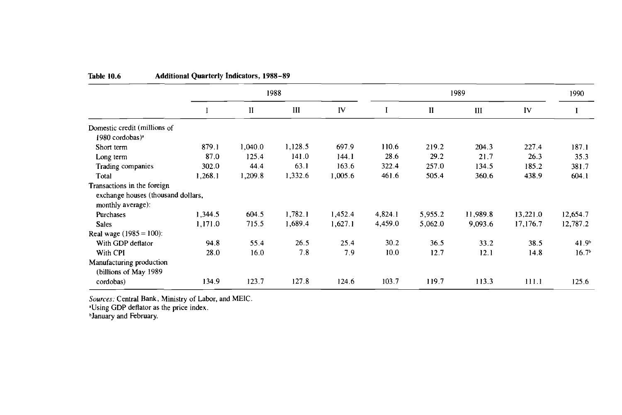|                                                                                        | 1988    |         |         |         |         | 1989         |          |          |                   |  |
|----------------------------------------------------------------------------------------|---------|---------|---------|---------|---------|--------------|----------|----------|-------------------|--|
|                                                                                        |         | П       | III     | IV      |         | $\mathbf{I}$ | Ш        | IV       |                   |  |
| Domestic credit (millions of<br>1980 cordobas) <sup>a</sup>                            |         |         |         |         |         |              |          |          |                   |  |
| Short term                                                                             | 879.1   | 1,040.0 | 1,128.5 | 697.9   | 110.6   | 219.2        | 204.3    | 227.4    | 187.1             |  |
| Long term                                                                              | 87.0    | 125.4   | 141.0   | 144.1   | 28.6    | 29.2         | 21.7     | 26.3     | 35.3              |  |
| Trading companies                                                                      | 302.0   | 44.4    | 63.1    | 163.6   | 322.4   | 257.0        | 134.5    | 185.2    | 381.7             |  |
| Total                                                                                  | 1.268.1 | 1,209.8 | 1,332.6 | 1,005.6 | 461.6   | 505.4        | 360.6    | 438.9    | 604.1             |  |
| Transactions in the foreign<br>exchange houses (thousand dollars,<br>monthly average): |         |         |         |         |         |              |          |          |                   |  |
| Purchases                                                                              | 1,344.5 | 604.5   | 1,782.1 | 1,452.4 | 4,824.1 | 5,955.2      | 11,989.8 | 13,221.0 | 12,654.7          |  |
| <b>Sales</b>                                                                           | 1,171.0 | 715.5   | 1,689.4 | 1,627.1 | 4,459.0 | 5,062.0      | 9,093.6  | 17,176.7 | 12,787.2          |  |
| Real wage $(1985 = 100)$ :                                                             |         |         |         |         |         |              |          |          |                   |  |
| With GDP deflator                                                                      | 94.8    | 55.4    | 26.5    | 25.4    | 30.2    | 36.5         | 33.2     | 38.5     | 41.9 <sup>b</sup> |  |
| With CPI                                                                               | 28.0    | 16.0    | 7.8     | 7.9     | 10.0    | 12.7         | 12.1     | 14.8     | 16.7 <sup>b</sup> |  |
| Manufacturing production<br>(billions of May 1989                                      |         |         |         |         |         |              |          |          |                   |  |
| cordobas)                                                                              | 134.9   | 123.7   | 127.8   | 124.6   | 103.7   | 119.7        | 113.3    | 111.1    | 125.6             |  |

**Table 10.6 Additional Quarterly Indicators, 1988-89** 

*Sources:* Central Bank, Ministry of Labor, and MEIC.

'Using **GDP** deflator as the price index. bJanuary and February.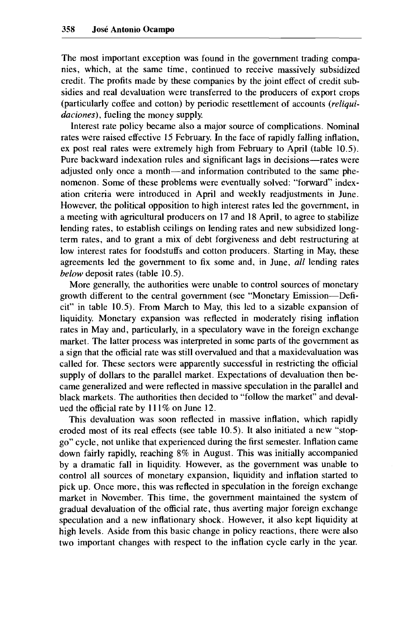The most important exception was found in the government trading companies, which, at the same time, continued *to* receive massively subsidized credit. The profits made by these companies by the joint effect of credit subsidies and real devaluation were transferred to the producers of export crops (particularly coffee and cotton) by periodic resettlement of accounts *(reliquiduciones),* fueling the money supply.

Interest rate policy became also a major source of complications. Nominal rates were raised effective **15** February. **In** the face of rapidly falling inflation, ex post real rates were extremely high from February to April (table 10.5). Pure backward indexation rules and significant lags in decisions-rates were adjusted only once a month-and information contributed to the same phenomenon. Some of these problems were eventually solved: "forward' indexation criteria were introduced in April and weekly readjustments in June. However, the political opposition to high interest rates led the government, in a meeting with agricultural producers on 17 and **18** April, to agree to stabilize lending rates, to establish ceilings on lending rates and new subsidized longterm rates, and to grant a mix of debt forgiveness and debt restructuring at low interest rates for foodstuffs and cotton producers. Starting in May, these agreements led the government to fix some and, in June, *all* lending rates *below* deposit rates (table 10.5).

More generally, the authorities were unable to control sources of monetary growth different to the central government (see "Monetary Emission-Deficit" in table 10.5). From March to May, this led to a sizable expansion of liquidity. Monetary expansion was reflected in moderately rising inflation rates in May and, particularly, in a speculatory wave in the foreign exchange market. The latter process was interpreted in some parts of the government as a sign that the official rate was still overvalued and that a maxidevaluation was called for. These sectors were apparently successful in restricting the official supply of dollars to the parallel market. Expectations of devaluation then became generalized and were reflected in massive speculation in the parallel and black markets. The authorities then decided to "follow the market" and devalued the official rate by 111% on June 12.

This devaluation was soon reflected in massive inflation, which rapidly eroded most of its real effects (see table 10.5). It also initiated a new "stopgo" cycle, not unlike that experienced during the first semester. Inflation came down fairly rapidly, reaching **8%** in August. This was initially accompanied by a dramatic fall in liquidity. However, as the government was unable to control all sources of monetary expansion, liquidity and inflation started to pick up. Once more, this was reflected in speculation in the foreign exchange market in November. This time, the government maintained the system of gradual devaluation of the official rate, thus averting major foreign exchange speculation and a new inflationary shock. However, it also kept liquidity at high levels. Aside from this basic change in policy reactions, there were also two important changes with respect to the inflation cycle early in the year.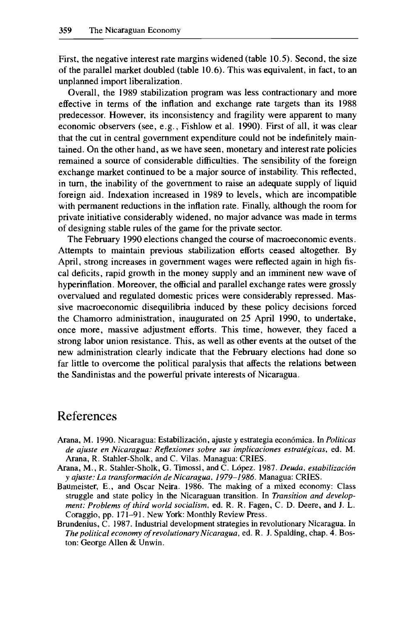First, the negative interest rate margins widened (table 10.5). Second, the size of the parallel market doubled (table 10.6). This was equivalent, in fact, to an unplanned import liberalization.

Overall, the 1989 stabilization program was less contractionary and more effective in terms of the inflation and exchange rate targets than its 1988 predecessor. However, its inconsistency and fragility were apparent to many economic observers (see, e.g., Fishlow et al. **1990).** First of all, it was clear that the cut in central government expenditure could not be indefinitely maintained. On the other hand, as we have seen, monetary and interest rate policies remained a source of considerable difficulties. The sensibility of the foreign exchange market continued to be a major source of instability. This reflected, in turn, the inability of the government to raise an adequate supply of liquid foreign aid. Indexation increased in 1989 to levels, which are incompatible with permanent reductions in the inflation rate. Finally, although the room for private initiative considerably widened, no major advance was made in terms of designing stable rules of the game for the private sector.

The February 1990 elections changed the course of macroeconomic events. Attempts to maintain previous stabilization efforts ceased altogether. By April, strong increases in government wages were reflected again in high fiscal deficits, rapid growth in the money supply and an imminent new wave of hyperinflation. Moreover, the official and parallel exchange rates were grossly overvalued and regulated domestic prices were considerably repressed. Massive macroeconomic disequilibria induced by these policy decisions forced the Chamorro administration, inaugurated on 25 April 1990, to undertake, once more, massive adjustment efforts. This time, however, they faced a strong labor union resistance. This, as well **as** other events at the outset of the new administration clearly indicate that the February elections had done so far little to overcome the political paralysis that affects the relations between the Sandinistas and the powerful private interests of Nicaragua.

# References

- **Arana, M.** 1990. **Nicaragua: Estabilizacion, ajuste** y **estrategia economica. In** *Politicas de ajuste en Nicaragua: Reflexiones sobre sus implicaciones estratégicas, ed. M.* Arana, R. Stahler-Sholk, and C. Vilas. Managua: CRIES.
- **Arana, M., R. Stahler-Sholk, G. Timossi, and C. Mpez.** 1987. *Deuda, estabilizacidn*  y *ajuste: La transformucibn de Nicaragua, 1979-1986.* **Managua: CRIES.**
- **Baumeister, E., and Oscar Neira.** 1986. **The making** of **a mixed economy: Class struggle and state policy in the Nicaraguan transition.** In *Transition and development: Problems of third world socialism,* **ed. R. R. Fagen, C. D. Deere, and J. L. Coraggio, pp.** 171-91. **New York: Monthly Review Press.**
- **Brundenius, C.** 1987. **Industrial development strategies in revolutionary Nicaragua. In**  *The political economy of revolutionary Nicaragua, ed. R. J. Spalding, chap. 4. Bos***ton: George Allen** & **Unwin.**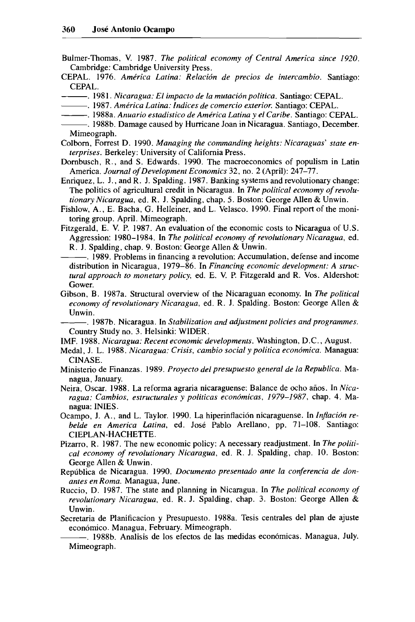- Bulmer-Thomas, V. 1987. The political economy of Central America since 1920. Cambridge: Cambridge University Press.
- CEPAL. 1976. América Latina: Relación de precios de intercambio. Santiago: CEPAL.
- . 1981. Nicaragua: El impact0 de la mutacibn politica. Santiago: CEPAL.
- . 1987. America Latinu: Indices de comercio exterior. Santiago: CEPAL.
- . 1988a. Anuario estadistico de América Latina y el Caribe. Santiago: CEPAL.
- . 1988b. Damage caused by Hurricane Joan in Nicaragua. Santiago, December. Mimeograph.
- Colborn, Forrest D. 1990. Managing the commanding heights: Nicaraguas' state enterprises. Berkeley: University of California Press.
- Dornbusch, R., and S. Edwards. 1990. The macroeconomics of populism in Latin America. Journal of Development Economics 32, no. 2 (April): 247-77.
- Enriquez, L. J., and R. J. Spalding. 1987. Banking systems and revolutionary change: The politics of agricultural credit in Nicaragua. In The political economy of revolutionary Nicaragua, ed. R. J. Spalding, chap. 5. Boston: George Allen & Unwin.
- Fishlow, A,, E. Bacha, G. HelIeiner, and L. Velasco. 1990. Final report of the monitoring group. April. Mimeograph.
- Fitzgerald, E. V. P. 1987. An evaluation of the economic costs to Nicaragua of U.S. Aggression: 1980-1984. In The political economy of revolutionary Nicaragua, ed. R. J. Spalding, chap. 9. Boston: George Allen & Unwin.
- . 1989. Problems in financing a revolution: Accumulation, defense and income distribution in Nicaragua, 1979-86. In Financing economic development: A structural approach to monetary policy, ed. E. V. P. Fitzgerald and R. Vos. Aldershot: Gower.
- Gibson, B. 1987a. Structural overview of the Nicaraguan economy. In The political economy of revolutionary Nicaragua, ed. R. J. Spalding. Boston: George Allen & Unwin.

. 1987b. Nicaragua. In Stabilization and adjustment policies and programmes. Country Study no. 3. Helsinki: WIDER.

- IMF. 1988. Nicaragua: Recent economic developments. Washington, D.C., August.
- Medal, J. L. 1988. Nicaragua: Crisis, cambio social y politica económica. Managua: CINASE.
- Ministerio de Finanzas. 1989. Proyecto del presupuesto general de la Republica. Managua, January.
- Neira, Oscar. 1988. La reforma agraria nicaraguense: Balance de ocho años. In Nicaragua: Cambios, estructurales y politicas económicas, 1979-1987, chap. 4. Managua: INIES.
- Ocampo, J. A., and L. Taylor. 1990. La hiperinflación nicaraguense. In Inflación rebelde en America Latina, ed. **Jost** Pablo Arellano, pp. 71-108. Santiago: CIEPLAN-HACHETTE.
- Pizarro, R. 1987. The new economic policy: A necessary readjustment. In The political economy of revolutionary Nicaragua, ed. R. J. Spalding, chap. 10. Boston: George Allen & Unwin.
- Repdblica de Nicaragua. 1990. Documento presentado ante la conferencia de donantes en Roma. Managua, June.
- Ruccio, D. 1987. The state and planning in Nicaragua. In The political economy of revolutionary Nicaragua, ed. R. J. Spalding, chap. 3. Boston: George Allen & Unwin.
- Secretaria de Planificacion y Presupuesto. 1988a. Tesis centrales del plan de ajuste econ6mico. Managua, February. Mimeograph.
	- . 1988b. Analisis de **10s** efectos de las medidas economicas. Managua, July. Mimeograph.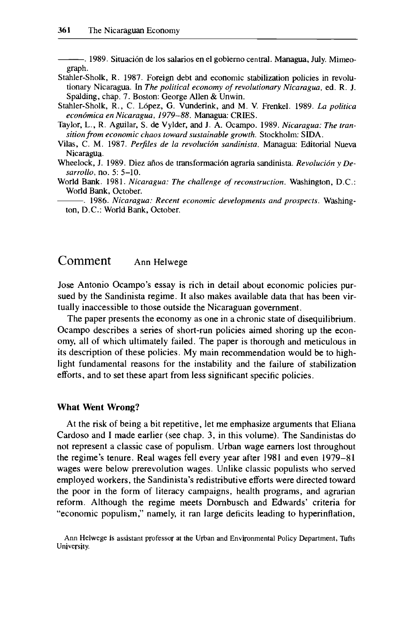. 1989. Situacidn de **10s** salarios en el gobierno central. Managua, July. Mimeograph.

- Stahler-Sholk, R. 1987. Foreign debt and economic stabilization policies in revolutionary Nicaragua. In *The political economy* of *revolutionary Nicaragua,* ed. R. J. Spalding, chap. 7. Boston: George Allen & Unwin.
- Stahler-Sholk, R., C. López, G. Vunderink, and M. V. Frenkel. 1989. *La politica econdmica en Nicaragua, 1979-88.* Managua: CRIES.
- Taylor, L., R. Aguilar, S. de Vylder, and J. A. Ocampo. 1989. *Nicaragua: The transitionfrom economic chaos toward sustainable growth.* Stockholm: SIDA.
- Vilas, C. M. 1987. *Perfiles de la revolucidn sandinista.* Managua: Editorial Nueva Nicaragua.
- Wheelock, J. 1989. Diez años de transformación agraria sandinista. *Revolución y Desarrollo,* no. 5: *5-10.*
- World Bank. 1981. *Nicaragua: The challenge* of *reconstruction.* Washington, D.C.: World Bank, October.

# Comment Ann Helwege

Jose Antonio Ocampo's essay is rich in detail about economic policies pursued by the Sandinista regime. It also makes available data that has been virtually inaccessible to those outside the Nicaraguan government.

The paper presents the economy as one in a chronic state of disequilibrium. Ocampo describes a series of short-run policies aimed shoring up the economy, all of which ultimately failed. The paper is thorough and meticulous in its description of these policies. My main recommendation would be to highlight fundamental reasons for the instability and the failure of stabilization efforts, and to set these apart from less significant specific policies.

#### **What Went Wrong?**

At the risk of being a bit repetitive, let me emphasize arguments that Eliana Cardoso and I made earlier (see chap. 3, in this volume). The Sandinistas do not represent a classic case of populism. Urban wage earners lost throughout the regime's tenure. Real wages fell every year after 1981 and even 1979-81 wages were below prerevolution wages. Unlike classic populists who served employed workers, the Sandinista's redistributive efforts were directed toward the poor in the form of literacy campaigns, health programs, and agrarian reform. Although the regime meets Dornbusch and Edwards' criteria for "economic populism," namely, it ran large deficits leading to hyperinflation,

<sup>.</sup> 1986. *Nicaragua: Recent economic developments and prospects.* Washington, D.C.: World Bank, October.

Ann Helwege is assistant professor at the Urban and Environmental Policy Department, Tufts University.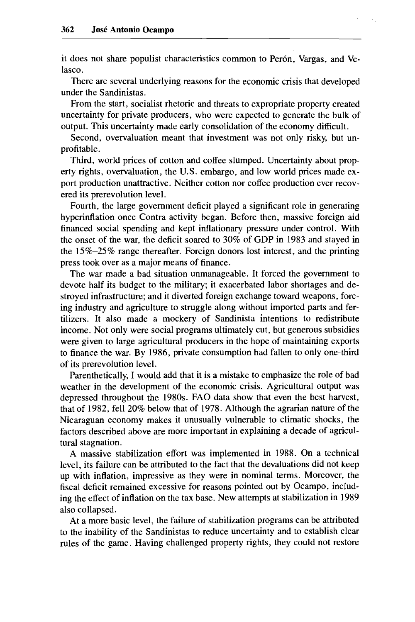it does not share populist characteristics common to Peron, Vargas, and Velasco.

There are several underlying reasons for the economic crisis that developed under the Sandinistas.

From the start, socialist rhetoric and threats to expropriate property created uncertainty for private producers, who were expected to generate the bulk of output. This uncertainty made early consolidation of the economy difficult.

Second, overvaluation meant that investment was not only risky, but unprofitable.

Third, world prices of cotton and coffee slumped. Uncertainty about property rights, overvaluation, the U.S. embargo, and low world prices made export production unattractive. Neither cotton nor coffee production ever recovered its prerevolution level.

Fourth, the large government deficit played a significant role in generating hyperinflation once Contra activity began. Before then, massive foreign aid financed social spending and kept inflationary pressure under control. With the onset of the war, the deficit soared to **30%** of GDP in **1983** and stayed in the  $15\% - 25\%$  range thereafter. Foreign donors lost interest, and the printing press took over as a major means of finance.

The war made a bad situation unmanageable. It forced the government to devote half its budget to the military; it exacerbated labor shortages and destroyed infrastructure; and it diverted foreign exchange toward weapons, forcing industry and agriculture to struggle along without imported parts and fertilizers. It also made a mockery of Sandinista intentions to redistribute income. Not only were social programs ultimately cut, but generous subsidies were given to large agricultural producers in the hope of maintaining exports to finance the war. By **1986,** private consumption had fallen to only one-third of its prerevolution level.

Parenthetically, I would add that it is a mistake to emphasize the role of bad weather in the development of the economic crisis. Agricultural output was depressed throughout the **1980s. FA0** data show that even the best harvest, that of **1982,** fell **20%** below that of **1978.** Although the agrarian nature of the Nicaraguan economy makes it unusually vulnerable to climatic shocks, the factors described above are more important in explaining a decade of agricultural stagnation.

A massive stabilization effort was implemented in **1988.** On a technical level, its failure can be attributed to the fact that the devaluations did not keep up with inflation, impressive as they were in nominal terms. Moreover, the fiscal deficit remained excessive for reasons pointed out by Ocampo, including the effect of inflation on the tax base. New attempts at stabilization in **1989**  also collapsed.

At a more basic level, the failure of stabilization programs can be attributed to the inability of the Sandinistas to reduce uncertainty and to establish clear rules of the game. Having challenged property rights, they could not restore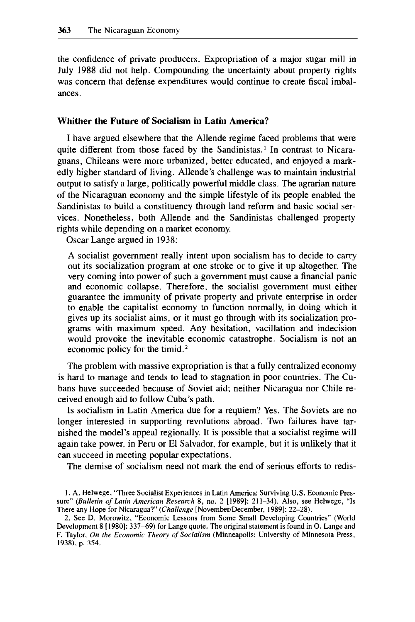the confidence of private producers. Expropriation of a major sugar mill in July 1988 did not help. Compounding the uncertainty about property rights was concern that defense expenditures would continue to create fiscal imbalances.

# **Whither the Future of Socialism in Latin America?**

I have argued elsewhere that the Allende regime faced problems that were quite different from those faced by the Sandinistas.<sup>1</sup> In contrast to Nicaraguans, Chileans were more urbanized, better educated, and enjoyed a markedly higher standard of living. Allende's challenge was to maintain industrial output to satisfy a large, politically powerful middle class. The agrarian nature of the Nicaraguan economy and the simple lifestyle of its people enabled the Sandinistas to build a constituency through land reform and basic social services. Nonetheless, both Allende and the Sandinistas challenged property rights while depending on a market economy.

Oscar Lange argued in 1938:

A socialist government really intent upon socialism has to decide to carry out its socialization program at one stroke or to give it up altogether. The very coming into power of such a government must cause a financial panic and economic collapse. Therefore, the socialist government must either guarantee the immunity of private property and private enterprise in order to enable the capitalist economy to function normally, in doing which it gives up its socialist aims, or it must go through with its socialization programs with maximum speed. Any hesitation, vacillation and indecision would provoke the inevitable economic catastrophe. Socialism is not an economic policy for the timid.<sup>2</sup>

The problem with massive expropriation is that a fully centralized economy is hard to manage and tends to lead to stagnation in poor countries. The Cubans have succeeded because of Soviet aid; neither Nicaragua nor Chile received enough aid to follow Cuba's path.

Is socialism in Latin America due for a requiem? Yes. The Soviets are no longer interested in supporting revolutions abroad. Two failures have tarnished the model's appeal regionally. It is possible that a socialist regime will again take power, in Peru or El Salvador, for example, but it is unlikely that it can succeed in meeting popular expectations.

The demise of socialism need not mark the end of serious efforts to redis-

I. A. Helwege, "Three Socialist Experiences in Latin America: Surviving U.S. Economic Pressure" *(Bullerin* of *Latin American Research 8,* no. 2 [ 19891: 21 1-34). Also, **see** Helwege, "Is There any Hope for Nicaragua?" (Challenge [November/December, 1989]: 22-28).

<sup>2.</sup> See D. Morowitz, "Economic Lessons from Some Small Developing Countries" (World Development 8 [1980]: 337–69) for Lange quote. The original statement is found in O. Lange and F. Taylor, On *the* Economic *Theory of Socialism* (Minneapolis: University of Minnesota Press, 1938), p. 354.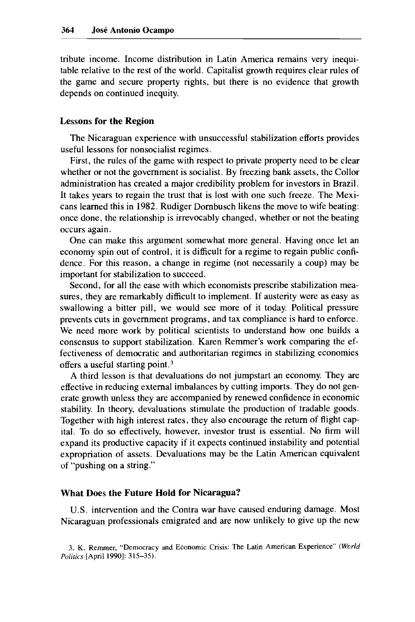tribute income. Income distribution in Latin America remains very inequitable relative to the rest of the world. Capitalist growth requires clear rules of the game and secure property rights, but there is no evidence that growth depends on continued inequity.

# **Lessons for the Region**

The Nicaraguan experience with unsuccessful stabilization efforts provides useful lessons for nonsocialist regimes.

First, the rules of the game with respect to private property need to be clear whether or not the government is socialist. By freezing bank assets, the Collor administration has created a major credibility problem for investors in Brazil. It takes years to regain the trust that is lost with one such freeze. The Mexicans learned this in 1982. Rudiger Dornbusch likens the move to wife beating: once done, the relationship is irrevocably changed, whether or not the beating occurs again.

One can make this argument somewhat more general. Having once let an economy spin out of control, it is difficult for a regime to regain public confidence. For this reason, a change in regime (not necessarily a coup) may be important for stabilization to succeed.

Second, for all the ease with which economists prescribe stabilization measures, they are remarkably difficult to implement. If austerity were as easy as swallowing a bitter pill, we would see more of it today. Political pressure prevents cuts in government programs, and tax compliance is hard to enforce. We need more work by political scientists to understand how one builds a consensus to support stabilization. Karen Remmer's work comparing the effectiveness of democratic and authoritarian regimes in stabilizing economies offers a useful starting point.<sup>3</sup>

A third lesson is that devaluations do not jumpstart an economy. They are effective in reducing external imbalances by cutting imports. They do not generate growth unless they are accompanied by renewed confidence in economic stability. In theory, devaluations stimulate the production of tradable goods. Together with high interest rates, they also encourage the return of flight capital. To do so effectively, however, investor trust is essential. No firm will expand its productive capacity if it expects continued instability and potential expropriation of assets. Devaluations may be the Latin American equivalent of "pushing on a string."

#### **What Does the Future Hold for Nicaragua?**

**U.S.** intervention and the Contra war have caused enduring damage. Most Nicaraguan professionals emigrated and are now unlikely to give up the new

*<sup>3.</sup>* **K.** Remmer, "Democracy and Economic Crisis: **The** Latin American Experience" *(World*  Politics **[April** *19901:* **315-35).**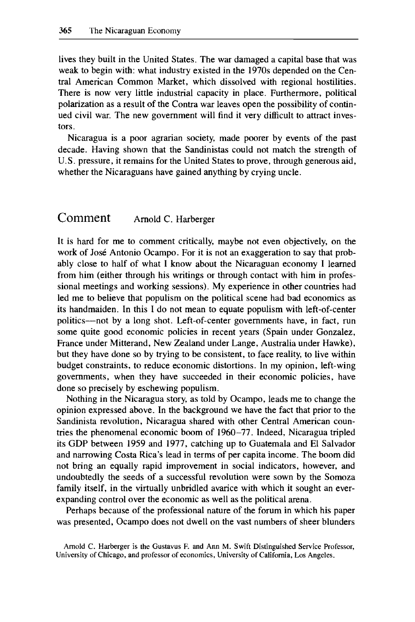lives they built in the United States. The war damaged a capital base that was weak to begin with: what industry existed in the 1970s depended on the Central American Common Market, which dissolved with regional hostilities. There is now very little industrial capacity in place. Furthermore, political polarization as a result of the Contra **war** leaves open the possibility of continued civil war. The new government will find it very difficult to attract investors.

Nicaragua is a poor agrarian society, made poorer by events of the past decade. Having shown that the Sandinistas could not match the strength of U.S. pressure, it remains for the United States to prove, through generous aid, whether the Nicaraguans have gained anything by crying uncle.

# Comment Arnold C. Harberger

It is hard for me to comment critically, maybe not even objectively, on the work of José Antonio Ocampo. For it is not an exaggeration to say that probably close to half of what I know about the Nicaraguan economy I learned from him (either through his writings or through contact with him in professional meetings and working sessions). My experience in other countries had led me to believe that populism on the political scene had bad economics as its handmaiden. In this I do not mean to equate populism with left-of-center politics-not by a long shot. Left-of-center governments have, in fact, run some quite good economic policies in recent years (Spain under Gonzalez, France under Mitterand, New Zealand under Lange, Australia under Hawke), but they have done so by trying to be consistent, to face reality, to live within budget constraints, to reduce economic distortions. In my opinion, left-wing governments, when they have succeeded in their economic policies, have done so precisely by eschewing populism.

Nothing in the Nicaragua story, as told by Ocampo, leads me to change the opinion expressed above. In the background we have the fact that prior to the Sandinista revolution, Nicaragua shared with other Central American countries the phenomenal economic boom of 1960-77. Indeed, Nicaragua tripled its GDP between 1959 and 1977, catching up to Guatemala and El Salvador and narrowing Costa Rica's lead in terms of per capita income. The boom did not bring an equally rapid improvement in social indicators, however, and undoubtedly the seeds of a successful revolution were sown by the Somoza family itself, in the virtually unbridled avarice with which it sought an everexpanding control over the economic as well as the political arena.

Perhaps because of the professional nature of the forum in which his paper was presented, Ocampo does not dwell on the vast numbers of sheer blunders

**Arnold C. Harberger is the Gustavus F. and Ann M. Swift Distinguished Service Professor, University of Chicago, and professor of economics, University of California, Los Angeles.**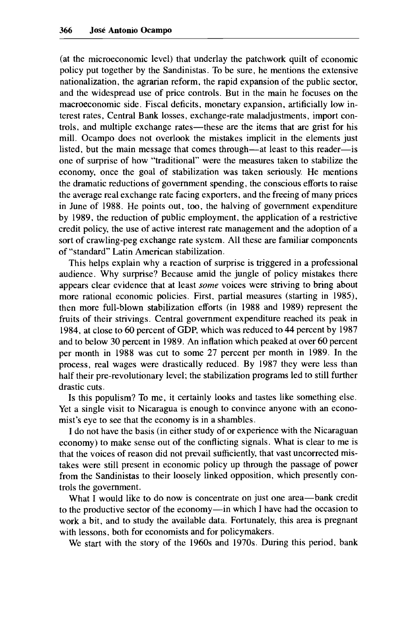(at the microeconomic level) that underlay the patchwork quilt of economic policy put together by the Sandinistas. To be sure, he mentions the extensive nationalization, the agrarian reform, the rapid expansion of the public sector, and the widespread use of price controls. But in the main he focuses on the macroeconomic side. Fiscal deficits, monetary expansion, artificially low interest rates, Central Bank losses, exchange-rate maladjustments, import controls, and multiple exchange rates-these are the items that are grist for his mill. Ocampo does not overlook the mistakes implicit in the elements just listed, but the main message that comes through-at least to this reader-is one of surprise of how "traditional" were the measures taken to stabilize the economy, once the **goal** of stabilization was taken seriously. He mentions the dramatic reductions of government spending, the conscious efforts to raise the average real exchange rate facing exporters, and the freeing **of** many prices in June **of** 1988. He points out, too, the halving of government expenditure by 1989, the reduction of public employment, the application of a restrictive credit policy, the use of active interest rate management and the adoption of a sort of crawling-peg exchange rate system. All these are familiar components of "standard" Latin American stabilization.

This helps explain why a reaction of surprise is triggered in a professional audience. Why surprise? Because amid the jungle of policy mistakes there appears clear evidence that at least *some* voices were striving to bring about more rational economic policies. First, partial measures (starting in 1985), then more full-blown stabilization efforts (in 1988 and 1989) represent the fruits of their strivings. Central government expenditure reached its peak in 1984, at close to *60* percent of GDP, which was reduced to 44 percent by 1987 and to below 30 percent in 1989. An inflation which peaked at over **60** percent per month in 1988 was cut to some 27 percent per month in 1989. In the process, real wages were drastically reduced. By 1987 they were less than half their pre-revolutionary level; the stabilization programs led to still further drastic cuts.

**Is** this populism? To me, it certainly **looks** and tastes like something else. Yet a single visit to Nicaragua is enough to convince anyone with an economist's eye to see that the economy is in a shambles.

**<sup>I</sup>**do not have the basis (in either study of or experience with the Nicaraguan economy) to make sense out of the conflicting signals. What is clear to me is that the voices of reason did not prevail sufficiently, that vast uncorrected mistakes were still present in economic policy up through the passage of power from the Sandinistas to their loosely linked opposition, which presently controls the government.

What I would like to do now is concentrate on just one area—bank credit to the productive sector of the economy-in which **I** have had the occasion to work a bit, and to study the available data. Fortunately, this area is pregnant with lessons, both for economists and for policymakers.

We start with the story of the 1960s and 1970s. During this period, bank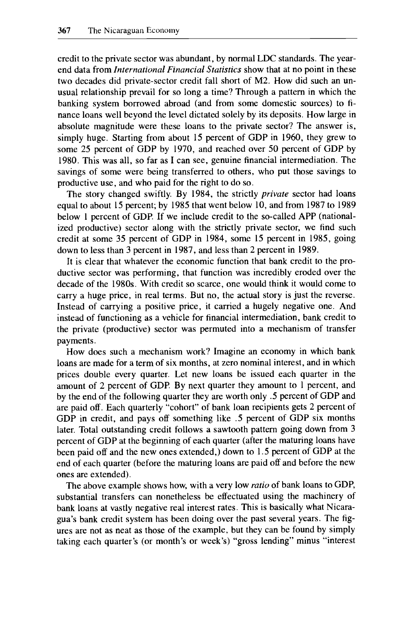credit to the private sector was abundant, by normal LDC standards. The yearend data from *International Financial Statistics* show that at no point in these two decades did private-sector credit fall short of M2. How did such an unusual relationship prevail for so long a time? Through a pattern in which the banking system borrowed abroad (and from some domestic sources) to finance loans well beyond the level dictated solely by its deposits. How large in absolute magnitude were these loans to the private sector? The answer is, simply huge. Starting from about 15 percent of GDP in 1960, they grew to some 25 percent of GDP by 1970, and reached over 50 percent of GDP by 1980. This was all, so far as I can see, genuine financial intermediation. The savings of some were being transferred to others, who put those savings to productive use, and who paid for the right to do so.

The story changed swiftly. By 1984, the strictly *private* sector had loans equal to about 15 percent; by 1985 that went below 10, and from 1987 to 1989 below 1 percent of GDP. If we include credit to the so-called APP (nationalized productive) sector along with the strictly private sector, we find such credit at some 35 percent of GDP in 1984, some 15 percent in 1985, going down to less than 3 percent in 1987, and less than 2 percent in 1989.

It is clear that whatever the economic function that bank credit to the productive sector was performing, that function was incredibly eroded over the decade of the 1980s. With credit so scarce, one would think it would come to carry a huge price, in real terms. But no, the actual story is just the reverse. Instead of carrying a positive price, it carried a hugely negative one. And instead of functioning as a vehicle for financial intermediation, bank credit to the private (productive) sector was permuted into a mechanism of transfer payments.

How does such a mechanism work? Imagine an economy in which bank loans are made for a term of six months, at zero nominal interest, and in which prices double every quarter. Let new loans be issued each quarter in the amount of 2 percent of GDP. By next quarter they amount to 1 percent, and by the end of the following quarter they are worth only .5 percent of GDP and are paid off. Each quarterly "cohort" of bank loan recipients gets 2 percent of GDP in credit, and pays off something like .5 percent of GDP six months later. Total outstanding credit follows a sawtooth pattern going down from 3 percent of GDP at the beginning of each quarter (after the maturing loans have been paid off and the new ones extended,) down to 1.5 percent of GDP at the end of each quarter (before the maturing loans are paid off and before the new ones are extended).

The above example shows how, with a very low *ratio* of bank loans to GDP, substantial transfers can nonetheless be effectuated using the machinery of bank loans at vastly negative real interest rates. This is basically what Nicaragua's bank credit system has been doing over the past several years. The figures are not as neat as those of the example, but they can be found by simply taking each quarter's (or month's or week's) "gross lending" minus "interest